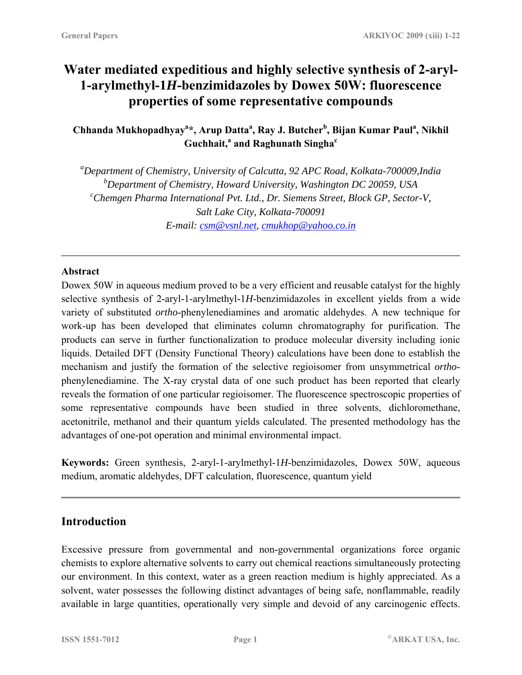# **Water mediated expeditious and highly selective synthesis of 2-aryl-1-arylmethyl-1***H***-benzimidazoles by Dowex 50W: fluorescence properties of some representative compounds**

**Chhanda Mukhopadhyay<sup>a</sup> \*, Arup Datta<sup>a</sup> , Ray J. Butcher<sup>b</sup> , Bijan Kumar Paul<sup>a</sup> , Nikhil Guchhait,<sup>a</sup> and Raghunath Singha<sup>c</sup>** 

*a Department of Chemistry, University of Calcutta, 92 APC Road, Kolkata-700009,India*  <sup>*b*</sup> Department of Chemistry, Howard University, Washington DC 20059, USA<br><sup>c</sup>Chamaan Pharma International Put *Ltd*, Dr. Sigmans Street, Plash CP, Sector *Chemgen Pharma International Pvt. Ltd., Dr. Siemens Street, Block GP, Sector-V, Salt Lake City, Kolkata-700091 E-mail: [csm@vsnl.net,](mailto:csm@vsnl.net) [cmukhop@yahoo.co.in](mailto:cmukhop@yahoo.co.in)*

#### **Abstract**

Dowex 50W in aqueous medium proved to be a very efficient and reusable catalyst for the highly selective synthesis of 2-aryl-1-arylmethyl-1*H*-benzimidazoles in excellent yields from a wide variety of substituted *ortho*-phenylenediamines and aromatic aldehydes. A new technique for work-up has been developed that eliminates column chromatography for purification. The products can serve in further functionalization to produce molecular diversity including ionic liquids. Detailed DFT (Density Functional Theory) calculations have been done to establish the mechanism and justify the formation of the selective regioisomer from unsymmetrical *ortho*phenylenediamine. The X-ray crystal data of one such product has been reported that clearly reveals the formation of one particular regioisomer. The fluorescence spectroscopic properties of some representative compounds have been studied in three solvents, dichloromethane, acetonitrile, methanol and their quantum yields calculated. The presented methodology has the advantages of one-pot operation and minimal environmental impact.

**Keywords:** Green synthesis, 2-aryl-1-arylmethyl-1*H*-benzimidazoles, Dowex 50W, aqueous medium, aromatic aldehydes, DFT calculation, fluorescence, quantum yield

## **Introduction**

Excessive pressure from governmental and non-governmental organizations force organic chemists to explore alternative solvents to carry out chemical reactions simultaneously protecting our environment. In this context, water as a green reaction medium is highly appreciated. As a solvent, water possesses the following distinct advantages of being safe, nonflammable, readily available in large quantities, operationally very simple and devoid of any carcinogenic effects.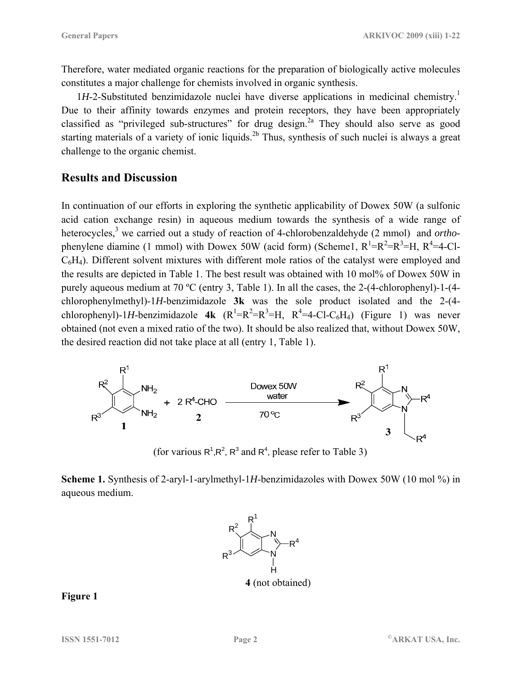Therefore, water mediated organic reactions for the preparation of biologically active molecules constitutes a major challenge for chemists involved in organic synthesis.

 $1H$ -2-Substituted benzimidazole nuclei have diverse applications in medicinal chemistry.<sup>1</sup> Due to their affinity towards enzymes and protein receptors, they have been appropriately classified as "privileged sub-structures" for drug design.<sup>2a</sup> They should also serve as good starting materials of a variety of ionic liquids.<sup>2b</sup> Thus, synthesis of such nuclei is always a great challenge to the organic chemist.

### **Results and Discussion**

In continuation of our efforts in exploring the synthetic applicability of Dowex 50W (a sulfonic acid cation exchange resin) in aqueous medium towards the synthesis of a wide range of heterocycles, 3 we carried out a study of reaction of 4-chlorobenzaldehyde (2 mmol) and *ortho*phenylene diamine (1 mmol) with Dowex 50W (acid form) (Scheme1,  $R^1=R^2=R^3=H$ ,  $R^4=4-C1$ C6H4). Different solvent mixtures with different mole ratios of the catalyst were employed and the results are depicted in Table 1. The best result was obtained with 10 mol% of Dowex 50W in purely aqueous medium at 70 ºC (entry 3, Table 1). In all the cases, the 2-(4-chlorophenyl)-1-(4 chlorophenylmethyl)-1*H*-benzimidazole **3k** was the sole product isolated and the 2-(4 chlorophenyl)-1*H*-benzimidazole **4k**  $(R^1=R^2=R^3=H, R^4=4-C1-C_6H_4)$  (Figure 1) was never obtained (not even a mixed ratio of the two). It should be also realized that, without Dowex 50W, the desired reaction did not take place at all (entry 1, Table 1).



(for various  $R^1, R^2, R^3$  and  $R^4$ , please refer to Table 3)

**Scheme 1.** Synthesis of 2-aryl-1-arylmethyl-1*H*-benzimidazoles with Dowex 50W (10 mol %) in aqueous medium.



**Figure 1**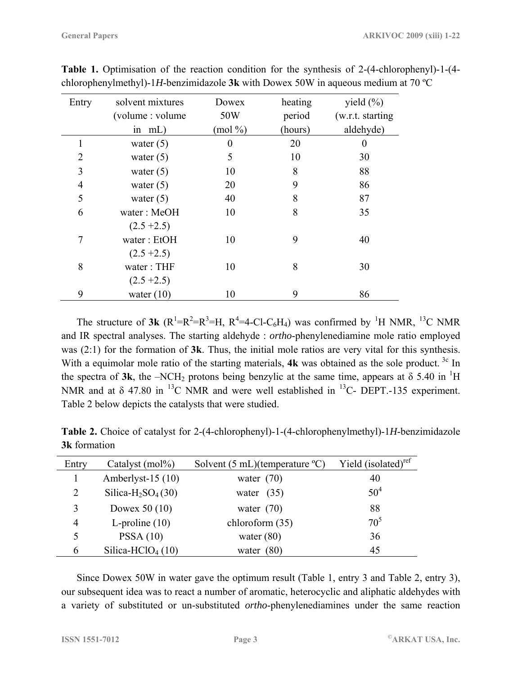| Entry          | solvent mixtures  | Dowex      | heating | yield $(\% )$     |
|----------------|-------------------|------------|---------|-------------------|
|                | (volume : volume) | 50W        | period  | (w.r.t. starting) |
|                | in $mL$ )         | $(mod \%)$ | (hours) | aldehyde)         |
| 1              | water $(5)$       | 0          | 20      | 0                 |
| $\overline{2}$ | water $(5)$       | 5          | 10      | 30                |
| 3              | water $(5)$       | 10         | 8       | 88                |
| $\overline{4}$ | water $(5)$       | 20         | 9       | 86                |
| 5              | water $(5)$       | 40         | 8       | 87                |
| 6              | water: MeOH       | 10         | 8       | 35                |
|                | $(2.5 + 2.5)$     |            |         |                   |
| 7              | water: EtOH       | 10         | 9       | 40                |
|                | $(2.5 + 2.5)$     |            |         |                   |
| 8              | water: THF        | 10         | 8       | 30                |
|                | $(2.5 + 2.5)$     |            |         |                   |
| 9              | water $(10)$      | 10         | 9       | 86                |

**Table 1.** Optimisation of the reaction condition for the synthesis of 2-(4-chlorophenyl)-1-(4 chlorophenylmethyl)-1*H*-benzimidazole **3k** with Dowex 50W in aqueous medium at 70 ºC

The structure of **3k** ( $R^1 = R^2 = R^3 = H$ ,  $R^4 = 4 - C1 - C_6H_4$ ) was confirmed by <sup>1</sup>H NMR, <sup>13</sup>C NMR and IR spectral analyses. The starting aldehyde : *ortho*-phenylenediamine mole ratio employed was (2:1) for the formation of **3k**. Thus, the initial mole ratios are very vital for this synthesis. With a equimolar mole ratio of the starting materials, **4k** was obtained as the sole product. <sup>3c</sup> In the spectra of  $3k$ , the  $-NCH_2$  protons being benzylic at the same time, appears at  $\delta$  5.40 in <sup>1</sup>H NMR and at  $\delta$  47.80 in <sup>13</sup>C NMR and were well established in <sup>13</sup>C- DEPT.-135 experiment. Table 2 below depicts the catalysts that were studied.

| Entry         | Catalyst (mol%)                            | Solvent $(5 \text{ mL})(\text{temperature }^{\circ}\text{C})$ | Yield (isolated) <sup>ref</sup> |
|---------------|--------------------------------------------|---------------------------------------------------------------|---------------------------------|
|               | Amberlyst-15 (10)                          | water $(70)$                                                  | 40                              |
| 2             | Silica-H <sub>2</sub> SO <sub>4</sub> (30) | water $(35)$                                                  | 50 <sup>4</sup>                 |
| 3             | Dowex 50 $(10)$                            | water $(70)$                                                  | 88                              |
| 4             | L-proline $(10)$                           | chloroform (35)                                               | 70 <sup>5</sup>                 |
|               | PSSA(10)                                   | water $(80)$                                                  | 36                              |
| $\mathfrak b$ | Silica-HClO <sub>4</sub> $(10)$            | water $(80)$                                                  | 45                              |

**Table 2.** Choice of catalyst for 2-(4-chlorophenyl)-1-(4-chlorophenylmethyl)-1*H*-benzimidazole **3k** formation

Since Dowex 50W in water gave the optimum result (Table 1, entry 3 and Table 2, entry 3), our subsequent idea was to react a number of aromatic, heterocyclic and aliphatic aldehydes with a variety of substituted or un-substituted *ortho*-phenylenediamines under the same reaction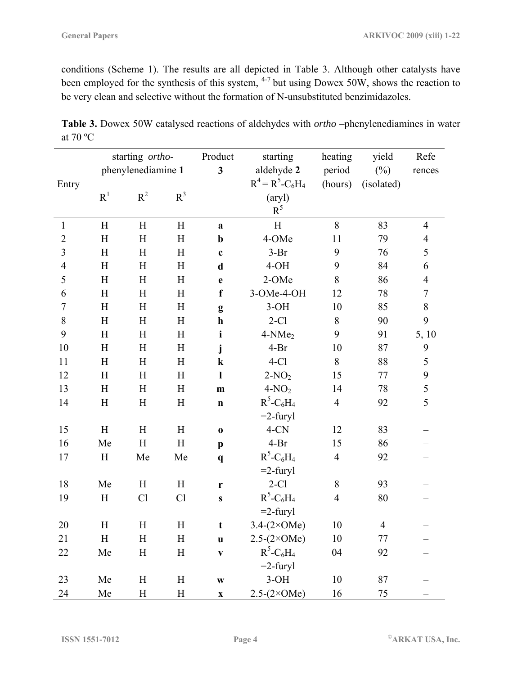conditions (Scheme 1). The results are all depicted in Table 3. Although other catalysts have been employed for the synthesis of this system, <sup>4-7</sup> but using Dowex 50W, shows the reaction to be very clean and selective without the formation of N-unsubstituted benzimidazoles.

|                |                           | starting ortho-    |           |                           | starting                             | heating        | yield      | Refe           |
|----------------|---------------------------|--------------------|-----------|---------------------------|--------------------------------------|----------------|------------|----------------|
|                |                           | phenylenediamine 1 |           |                           | aldehyde 2<br>period                 |                | $(\%)$     | rences         |
| Entry          |                           |                    |           |                           | $R^4 = R^5 - C_6H_4$                 | (hours)        | (isolated) |                |
|                | R <sup>1</sup>            | $R^2$              | $R^3$     |                           | $(\text{aryl})$                      |                |            |                |
|                |                           |                    |           |                           | $R^5$                                |                |            |                |
| $\mathbf{1}$   | H                         | H                  | H         | $\mathbf a$               | H                                    | $8\,$          | 83         | $\overline{4}$ |
| $\overline{2}$ | H                         | H                  | H         | $\mathbf b$               | 4-OMe                                | 11             | 79         | $\overline{4}$ |
| 3              | H                         | H                  | H         | $\mathbf c$               | $3-Br$<br>9                          |                | 76         | 5              |
| $\overline{4}$ | H                         | H                  | H         | $\mathbf d$               | $4-OH$                               | 9              | 84         | 6              |
| 5              | H                         | H                  | H         | e                         | 2-OMe                                | 8              | 86         | $\overline{4}$ |
| 6              | H                         | H                  | H         | $\mathbf f$               | 3-OMe-4-OH                           | 12             | 78         | $\tau$         |
| $\tau$         | H                         | H                  | H         | g                         | $3-OH$                               | 10             | 85         | $\,8\,$        |
| 8              | H                         | H                  | H         | $\mathbf h$               | $2-C1$                               | $\,$ 8 $\,$    | 90         | 9              |
| 9              | H                         | H                  | H         | $\mathbf{i}$              | 4-NMe <sub>2</sub>                   | 9              | 91         | 5, 10          |
| 10             | H                         | H                  | H         | j                         | $4-Br$                               | 10             | 87         | 9              |
| 11             | H                         | H                  | H         | $\bf k$                   | $4-C1$                               | 8              | 88         | 5              |
| 12             | H                         | H                  | H         | $\mathbf{l}$              | $2-NO2$                              | 15             | 77         | 9              |
| 13             | H                         | H                  | H         | m                         | $4-NO2$                              | 14             | 78         | 5              |
| 14             | $\boldsymbol{\mathrm{H}}$ | H                  | H         | $\mathbf n$               | $R^5$ -C <sub>6</sub> H <sub>4</sub> | $\overline{4}$ | 92         | 5              |
|                |                           |                    |           |                           | $=$ 2-furyl                          |                |            |                |
| 15             | H                         | H                  | H         | $\bf{0}$                  | $4$ -CN                              | 12             | 83         |                |
| 16             | Me                        | H                  | H         | $\mathbf{p}$              | $4-Br$                               | 15             | 86         |                |
| 17             | H                         | Me                 | Me        | $\mathbf{q}$              | $R^5$ -C <sub>6</sub> H <sub>4</sub> | $\overline{4}$ | 92         |                |
|                |                           |                    |           |                           | $=2$ -furyl                          |                |            |                |
| 18             | Me                        | H                  | H         | r                         | $2-C1$                               | $8\,$          | 93         |                |
| 19             | $\boldsymbol{\mathrm{H}}$ | Cl                 | Cl        | ${\bf S}$                 | $R^5$ -C <sub>6</sub> H <sub>4</sub> | $\overline{4}$ | 80         |                |
|                |                           |                    |           |                           | $=2$ -furyl                          |                |            |                |
| 20             | H                         | H                  | H         | $\mathbf t$               | $3.4-(2\times OMe)$                  | 10             | 4          |                |
| 21             | H                         | $H_{\rm}$          | H         | $\mathbf u$               | $2.5-(2\times OMe)$                  | 10             | 77         |                |
| 22             | Me                        | $H_{\rm}$          | $H_{\rm}$ | $\mathbf{V}$              | $R^5$ -C <sub>6</sub> H <sub>4</sub> | 04             | 92         |                |
|                |                           |                    |           |                           | $=2$ -furyl                          |                |            |                |
| 23             | Me                        | $H_{\rm}$          | H         | $\mathbf{W}$              | $3-OH$                               | 10             | 87         |                |
| 24             | Me                        | $H_{\rm}$          | $H_{\rm}$ | $\boldsymbol{\mathrm{X}}$ | $2.5-(2\times OMe)$                  | 16             | $75\,$     |                |

**Table 3.** Dowex 50W catalysed reactions of aldehydes with *ortho* –phenylenediamines in water at 70 ºC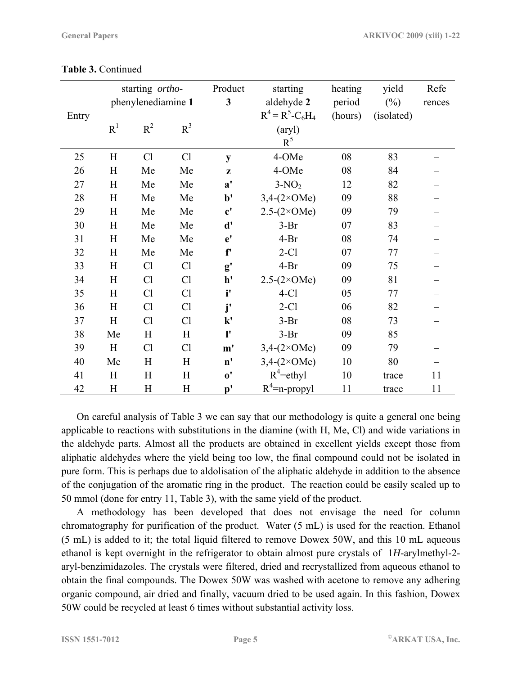|       |                | starting ortho-    |           |                       | starting             | heating | yield      | Refe   |
|-------|----------------|--------------------|-----------|-----------------------|----------------------|---------|------------|--------|
|       |                | phenylenediamine 1 |           |                       | aldehyde 2           | period  | $(\%)$     | rences |
| Entry |                |                    |           |                       | $R^4 = R^5 - C_6H_4$ | (hours) | (isolated) |        |
|       | R <sup>1</sup> | $R^2$              | $R^3$     |                       | (aryl)               |         |            |        |
|       |                |                    |           |                       | $R^5$                |         |            |        |
| 25    | H              | Cl                 | Cl        | ${\bf y}$             | 4-OMe                | 08      | 83         |        |
| 26    | H              | Me                 | Me        | z                     | 4-OMe                | 08      | 84         |        |
| 27    | H              | Me                 | Me        | $\mathbf{a}^{\prime}$ | $3-NO2$              | 12      | 82         |        |
| 28    | H              | Me                 | Me        | $b$                   | $3,4-(2\times OMe)$  | 09      | 88         |        |
| 29    | H              | Me                 | Me        | $\mathbf{c}^{\prime}$ | $2.5-(2\times OMe)$  | 09      | 79         |        |
| 30    | H              | Me                 | Me        | d'                    | $3-Br$               | 07      | 83         |        |
| 31    | H              | Me                 | Me        | e'                    | $4-Br$               | 08      | 74         |        |
| 32    | H              | Me                 | Me        | f'                    | $2-C1$               | 07      | 77         |        |
| 33    | H              | C <sub>1</sub>     | Cl        | g'                    | $4-Br$               | 09      | 75         |        |
| 34    | H              | Cl                 | Cl        | h'                    | $2.5-(2\times OMe)$  | 09      | 81         |        |
| 35    | H              | Cl                 | Cl        | i'                    | $4-C1$               | 05      | 77         |        |
| 36    | H              | Cl                 | <b>Cl</b> | j'                    | $2-C1$               | 06      | 82         |        |
| 37    | H              | Cl                 | Cl        | $\mathbf{k}'$         | $3-Br$               | 08      | 73         |        |
| 38    | Me             | H                  | H         | ľ                     | $3-Br$               | 09      | 85         |        |
| 39    | H              | Cl                 | Cl        | m'                    | $3,4-(2\times OMe)$  | 09      | 79         |        |
| 40    | Me             | H                  | Η         | $\mathbf{n}'$         | $3,4-(2\times OMe)$  | 10      | 80         |        |
| 41    | H              | H                  | $H_{\rm}$ | $\mathbf{o'}$         | $R^4$ =ethyl         | 10      | trace      | 11     |
| 42    | H              | H                  | H         | $\mathbf{p'}$         | $R^4$ =n-propyl      | 11      | trace      | 11     |

**Table 3.** Continued

On careful analysis of Table 3 we can say that our methodology is quite a general one being applicable to reactions with substitutions in the diamine (with H, Me, Cl) and wide variations in the aldehyde parts. Almost all the products are obtained in excellent yields except those from aliphatic aldehydes where the yield being too low, the final compound could not be isolated in pure form. This is perhaps due to aldolisation of the aliphatic aldehyde in addition to the absence of the conjugation of the aromatic ring in the product. The reaction could be easily scaled up to 50 mmol (done for entry 11, Table 3), with the same yield of the product.

A methodology has been developed that does not envisage the need for column chromatography for purification of the product. Water (5 mL) is used for the reaction. Ethanol (5 mL) is added to it; the total liquid filtered to remove Dowex 50W, and this 10 mL aqueous ethanol is kept overnight in the refrigerator to obtain almost pure crystals of 1*H*-arylmethyl-2 aryl-benzimidazoles. The crystals were filtered, dried and recrystallized from aqueous ethanol to obtain the final compounds. The Dowex 50W was washed with acetone to remove any adhering organic compound, air dried and finally, vacuum dried to be used again. In this fashion, Dowex 50W could be recycled at least 6 times without substantial activity loss.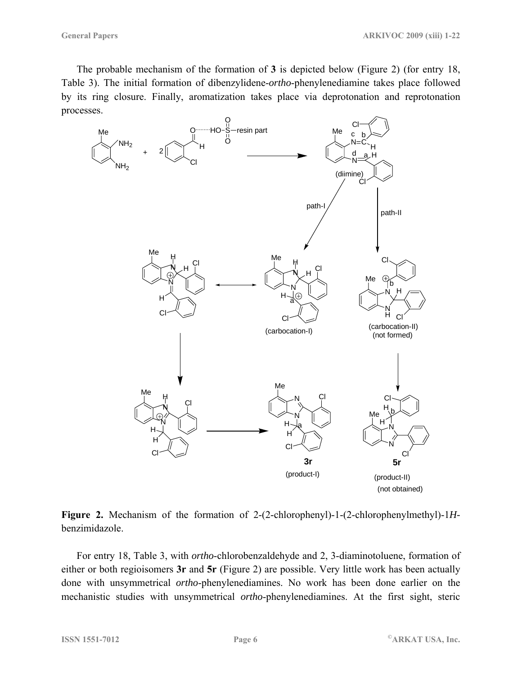The probable mechanism of the formation of **3** is depicted below (Figure 2) (for entry 18, Table 3). The initial formation of dibenzylidene-*ortho*-phenylenediamine takes place followed by its ring closure. Finally, aromatization takes place via deprotonation and reprotonation processes.



**Figure 2.** Mechanism of the formation of 2-(2-chlorophenyl)-1-(2-chlorophenylmethyl)-1*H*benzimidazole.

For entry 18, Table 3, with *ortho*-chlorobenzaldehyde and 2, 3-diaminotoluene, formation of either or both regioisomers **3r** and **5r** (Figure 2) are possible. Very little work has been actually done with unsymmetrical *ortho*-phenylenediamines. No work has been done earlier on the mechanistic studies with unsymmetrical *ortho*-phenylenediamines. At the first sight, steric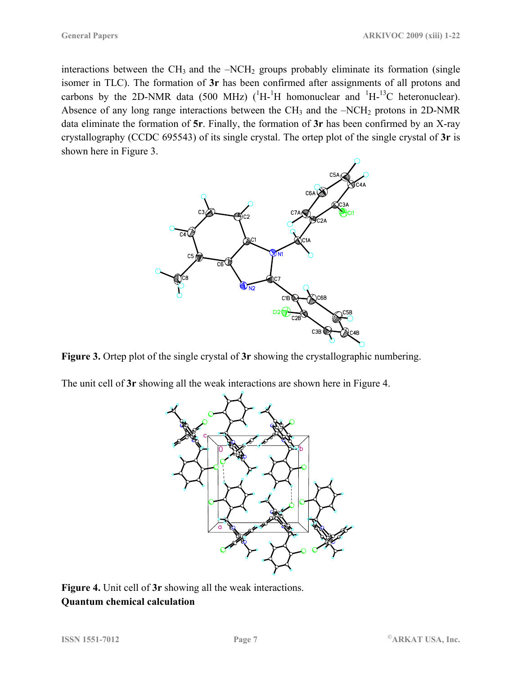interactions between the  $CH_3$  and the  $-NCH_2$  groups probably eliminate its formation (single isomer in TLC). The formation of **3r** has been confirmed after assignments of all protons and carbons by the 2D-NMR data (500 MHz)  $(^1H^{-1}H$  homonuclear and  $^1H^{-13}C$  heteronuclear). Absence of any long range interactions between the  $CH_3$  and the  $-NCH_2$  protons in 2D-NMR data eliminate the formation of **5r**. Finally, the formation of **3r** has been confirmed by an X-ray crystallography (CCDC 695543) of its single crystal. The ortep plot of the single crystal of **3r** is shown here in Figure 3.



**Figure 3.** Ortep plot of the single crystal of **3r** showing the crystallographic numbering.

The unit cell of **3r** showing all the weak interactions are shown here in Figure 4.



**Figure 4.** Unit cell of **3r** showing all the weak interactions. **Quantum chemical calculation**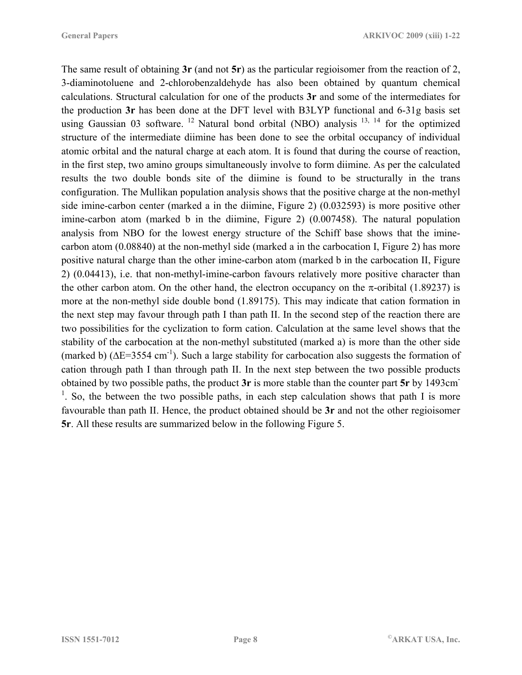The same result of obtaining **3r** (and not **5r**) as the particular regioisomer from the reaction of 2, 3-diaminotoluene and 2-chlorobenzaldehyde has also been obtained by quantum chemical calculations. Structural calculation for one of the products **3r** and some of the intermediates for the production **3r** has been done at the DFT level with B3LYP functional and 6-31g basis set using Gaussian 03 software. <sup>12</sup> Natural bond orbital (NBO) analysis  $^{13, 14}$  for the optimized structure of the intermediate diimine has been done to see the orbital occupancy of individual atomic orbital and the natural charge at each atom. It is found that during the course of reaction, in the first step, two amino groups simultaneously involve to form diimine. As per the calculated results the two double bonds site of the diimine is found to be structurally in the trans configuration. The Mullikan population analysis shows that the positive charge at the non-methyl side imine-carbon center (marked a in the diimine, Figure 2) (0.032593) is more positive other imine-carbon atom (marked b in the diimine, Figure 2) (0.007458). The natural population analysis from NBO for the lowest energy structure of the Schiff base shows that the iminecarbon atom (0.08840) at the non-methyl side (marked a in the carbocation I, Figure 2) has more positive natural charge than the other imine-carbon atom (marked b in the carbocation II, Figure 2) (0.04413), i.e. that non-methyl-imine-carbon favours relatively more positive character than the other carbon atom. On the other hand, the electron occupancy on the  $\pi$ -oribital (1.89237) is more at the non-methyl side double bond (1.89175). This may indicate that cation formation in the next step may favour through path I than path II. In the second step of the reaction there are two possibilities for the cyclization to form cation. Calculation at the same level shows that the stability of the carbocation at the non-methyl substituted (marked a) is more than the other side (marked b) ( $\Delta E$ =3554 cm<sup>-1</sup>). Such a large stability for carbocation also suggests the formation of cation through path I than through path II. In the next step between the two possible products obtained by two possible paths, the product **3r** is more stable than the counter part **5r** by 1493cm-<sup>1</sup>. So, the between the two possible paths, in each step calculation shows that path I is more favourable than path II. Hence, the product obtained should be **3r** and not the other regioisomer **5r**. All these results are summarized below in the following Figure 5.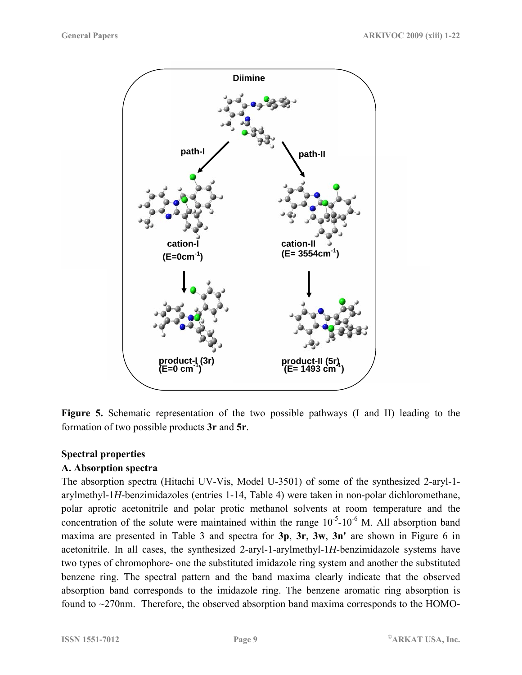

**Figure 5.** Schematic representation of the two possible pathways (I and II) leading to the formation of two possible products **3r** and **5r**.

#### **Spectral properties**

#### **A. Absorption spectra**

The absorption spectra (Hitachi UV-Vis, Model U-3501) of some of the synthesized 2-aryl-1 arylmethyl-1*H*-benzimidazoles (entries 1-14, Table 4) were taken in non-polar dichloromethane, polar aprotic acetonitrile and polar protic methanol solvents at room temperature and the concentration of the solute were maintained within the range  $10^{-5}$ -10<sup>-6</sup> M. All absorption band maxima are presented in Table 3 and spectra for **3p**, **3r**, **3w**, **3n'** are shown in Figure 6 in acetonitrile. In all cases, the synthesized 2-aryl-1-arylmethyl-1*H*-benzimidazole systems have two types of chromophore- one the substituted imidazole ring system and another the substituted benzene ring. The spectral pattern and the band maxima clearly indicate that the observed absorption band corresponds to the imidazole ring. The benzene aromatic ring absorption is found to ~270nm. Therefore, the observed absorption band maxima corresponds to the HOMO-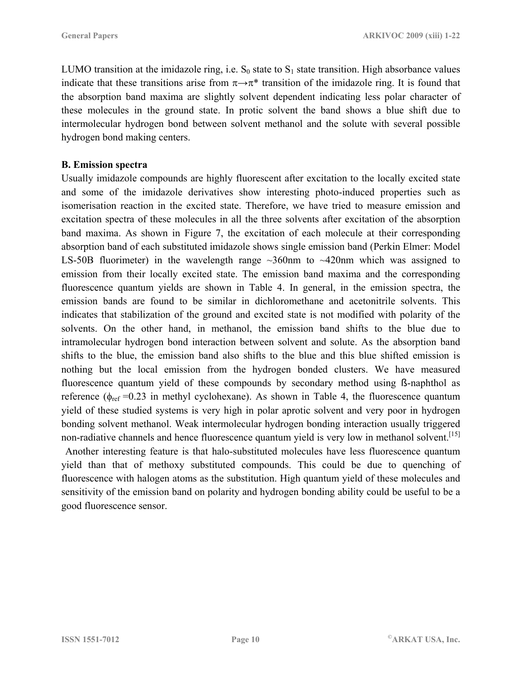LUMO transition at the imidazole ring, i.e.  $S_0$  state to  $S_1$  state transition. High absorbance values indicate that these transitions arise from  $\pi \rightarrow \pi^*$  transition of the imidazole ring. It is found that the absorption band maxima are slightly solvent dependent indicating less polar character of these molecules in the ground state. In protic solvent the band shows a blue shift due to intermolecular hydrogen bond between solvent methanol and the solute with several possible hydrogen bond making centers.

#### **B. Emission spectra**

Usually imidazole compounds are highly fluorescent after excitation to the locally excited state and some of the imidazole derivatives show interesting photo-induced properties such as isomerisation reaction in the excited state. Therefore, we have tried to measure emission and excitation spectra of these molecules in all the three solvents after excitation of the absorption band maxima. As shown in Figure 7, the excitation of each molecule at their corresponding absorption band of each substituted imidazole shows single emission band (Perkin Elmer: Model LS-50B fluorimeter) in the wavelength range  $\sim$ 360nm to  $\sim$ 420nm which was assigned to emission from their locally excited state. The emission band maxima and the corresponding fluorescence quantum yields are shown in Table 4. In general, in the emission spectra, the emission bands are found to be similar in dichloromethane and acetonitrile solvents. This indicates that stabilization of the ground and excited state is not modified with polarity of the solvents. On the other hand, in methanol, the emission band shifts to the blue due to intramolecular hydrogen bond interaction between solvent and solute. As the absorption band shifts to the blue, the emission band also shifts to the blue and this blue shifted emission is nothing but the local emission from the hydrogen bonded clusters. We have measured fluorescence quantum yield of these compounds by secondary method using ß-naphthol as reference ( $\phi_{ref}$  =0.23 in methyl cyclohexane). As shown in Table 4, the fluorescence quantum yield of these studied systems is very high in polar aprotic solvent and very poor in hydrogen bonding solvent methanol. Weak intermolecular hydrogen bonding interaction usually triggered non-radiative channels and hence fluorescence quantum yield is very low in methanol solvent.<sup>[15]</sup>

 Another interesting feature is that halo-substituted molecules have less fluorescence quantum yield than that of methoxy substituted compounds. This could be due to quenching of fluorescence with halogen atoms as the substitution. High quantum yield of these molecules and sensitivity of the emission band on polarity and hydrogen bonding ability could be useful to be a good fluorescence sensor.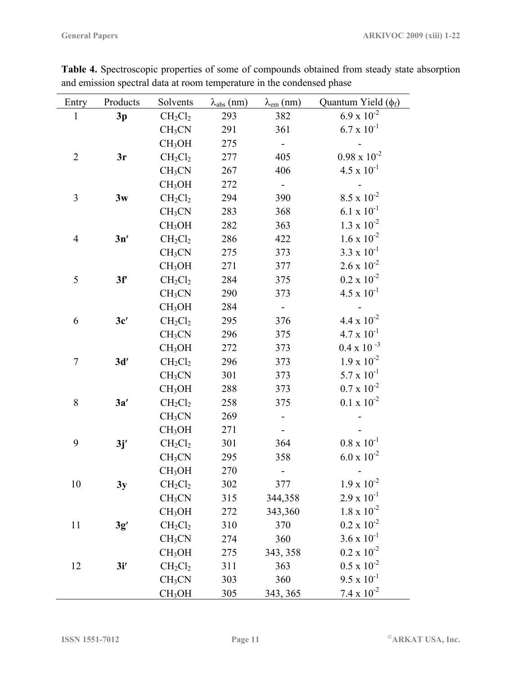| Entry          | Products | Solvents           | $\lambda_{\text{abs}}$ (nm) | $\lambda_{em}$ (nm) | Quantum Yield $(\phi_f)$          |
|----------------|----------|--------------------|-----------------------------|---------------------|-----------------------------------|
| $\mathbf{1}$   | 3p       | $CH_2Cl_2$         | 293                         | 382                 | $6.9 \times 10^{-2}$              |
|                |          | CH <sub>3</sub> CN | 291                         | 361                 | $6.7 \times 10^{-1}$              |
|                |          | CH <sub>3</sub> OH | 275                         |                     |                                   |
| $\overline{2}$ | 3r       | $CH_2Cl_2$         | 277                         | 405                 | $0.98\ge 10^{-2}$                 |
|                |          | CH <sub>3</sub> CN | 267                         | 406                 | $4.5 \times 10^{-1}$              |
|                |          | CH <sub>3</sub> OH | 272                         |                     |                                   |
| 3              | 3w       | $CH_2Cl_2$         | 294                         | 390                 | $8.5 \times 10^{-2}$              |
|                |          | CH <sub>3</sub> CN | 283                         | 368                 | $6.1 \times 10^{-1}$              |
|                |          | CH <sub>3</sub> OH | 282                         | 363                 | $1.3 \times 10^{-2}$              |
| 4              | 3n'      | $CH_2Cl_2$         | 286                         | 422                 | $1.6 \times 10^{-2}$              |
|                |          | CH <sub>3</sub> CN | 275                         | 373                 | $3.3 \times 10^{-1}$              |
|                |          | CH <sub>3</sub> OH | 271                         | 377                 | $2.6 \times 10^{-2}$              |
| 5              | 3f'      | $CH_2Cl_2$         | 284                         | 375                 | $0.2 \times 10^{-2}$              |
|                |          | CH <sub>3</sub> CN | 290                         | 373                 | $4.5 \times 10^{-1}$              |
|                |          | CH <sub>3</sub> OH | 284                         |                     |                                   |
| 6              | 3c'      | $CH_2Cl_2$         | 295                         | 376                 | $4.4 \times 10^{-2}$              |
|                |          | CH <sub>3</sub> CN | 296                         | 375                 | $4.7 \times 10^{-1}$              |
|                |          | CH <sub>3</sub> OH | 272                         | 373                 | $0.4 \times 10^{-3}$              |
| 7              | 3d'      | $CH_2Cl_2$         | 296                         | 373                 | $1.9 \times 10^{-2}$              |
|                |          | CH <sub>3</sub> CN | 301                         | 373                 | $5.7 \times 10^{-1}$              |
|                |          | CH <sub>3</sub> OH | 288                         | 373                 | $0.7 \times 10^{-2}$              |
| 8              | 3a'      | $CH_2Cl_2$         | 258                         | 375                 | $0.1\ge 10^{-2}$                  |
|                |          | CH <sub>3</sub> CN | 269                         |                     |                                   |
|                |          | CH <sub>3</sub> OH | 271                         |                     |                                   |
| 9              | 3j'      | $CH_2Cl_2$         | 301                         | 364                 | $0.8\ \mathrm{x}\ 10^{\text{-}1}$ |
|                |          | CH <sub>3</sub> CN | 295                         | 358                 | $6.0 \times 10^{-2}$              |
|                |          | CH <sub>3</sub> OH | 270                         |                     |                                   |
| 10             | 3y       | $CH_2Cl_2$         | 302                         | 377                 | $1.9 \times 10^{-2}$              |
|                |          | CH <sub>3</sub> CN | 315                         | 344,358             | $2.9 \times 10^{-1}$              |
|                |          | CH <sub>3</sub> OH | 272                         | 343,360             | $1.8 \times 10^{-2}$              |
| 11             | 3g'      | $CH_2Cl_2$         | 310                         | 370                 | $0.2 \ge 10^{-2}$                 |
|                |          | CH <sub>3</sub> CN | 274                         | 360                 | $3.6 \times 10^{-1}$              |
|                |          | CH <sub>3</sub> OH | 275                         | 343, 358            | $0.2 \times 10^{-2}$              |
| 12             | 3i'      | $CH_2Cl_2$         | 311                         | 363                 | $0.5\ge 10^{-2}$                  |
|                |          | CH <sub>3</sub> CN | 303                         | 360                 | $9.5 \times 10^{-1}$              |
|                |          | CH <sub>3</sub> OH | 305                         | 343, 365            | $7.4 \times 10^{-2}$              |

**Table 4.** Spectroscopic properties of some of compounds obtained from steady state absorption and emission spectral data at room temperature in the condensed phase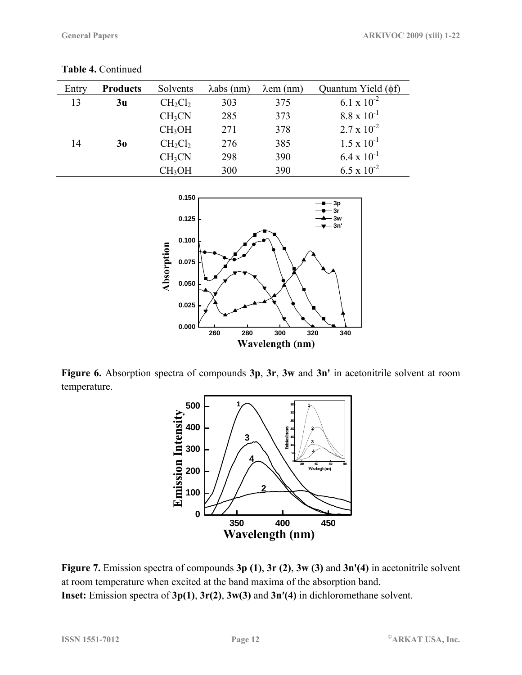**Table 4.** Continued

| Entry | <b>Products</b> | Solvents           | $\lambda$ abs (nm) | $\lambda$ em (nm) | Quantum Yield $(\phi f)$ |
|-------|-----------------|--------------------|--------------------|-------------------|--------------------------|
| 13    | 3 <sub>u</sub>  | $CH_2Cl_2$         | 303                | 375               | 6.1 x $10^{-2}$          |
|       |                 | CH <sub>3</sub> CN | 285                | 373               | $8.8 \times 10^{-1}$     |
|       |                 | CH <sub>3</sub> OH | 271                | 378               | $2.7 \times 10^{-2}$     |
| 14    | 3 <sub>0</sub>  | $CH_2Cl_2$         | 276                | 385               | $1.5 \times 10^{-1}$     |
|       |                 | CH <sub>3</sub> CN | 298                | 390               | $6.4 \times 10^{-1}$     |
|       |                 | CH <sub>3</sub> OH | 300                | 390               | $6.5 \times 10^{-2}$     |



**Figure 6.** Absorption spectra of compounds **3p**, **3r**, **3w** and **3n'** in acetonitrile solvent at room temperature.



**Figure 7.** Emission spectra of compounds **3p (1)**, **3r (2)**, **3w (3)** and **3n'(4)** in acetonitrile solvent at room temperature when excited at the band maxima of the absorption band. **Inset:** Emission spectra of **3p(1)**, **3r(2)**, **3w(3)** and **3n′(4)** in dichloromethane solvent.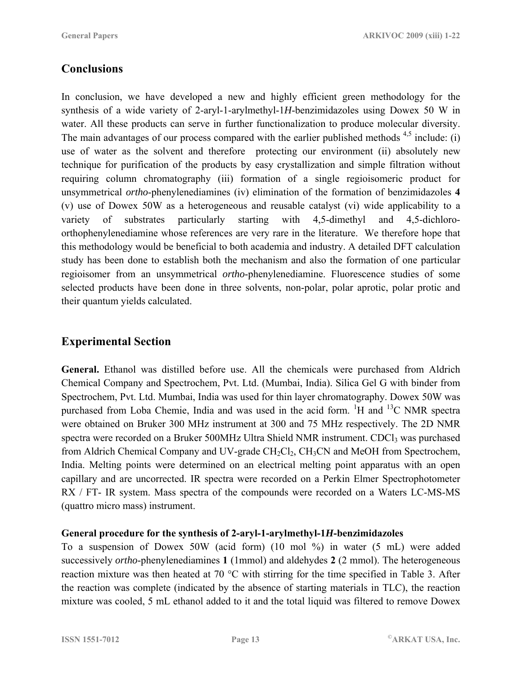# **Conclusions**

In conclusion, we have developed a new and highly efficient green methodology for the synthesis of a wide variety of 2-aryl-1-arylmethyl-1*H*-benzimidazoles using Dowex 50 W in water. All these products can serve in further functionalization to produce molecular diversity. The main advantages of our process compared with the earlier published methods  $4,5$  include: (i) use of water as the solvent and therefore protecting our environment (ii) absolutely new technique for purification of the products by easy crystallization and simple filtration without requiring column chromatography (iii) formation of a single regioisomeric product for unsymmetrical *ortho*-phenylenediamines (iv) elimination of the formation of benzimidazoles **4** (v) use of Dowex 50W as a heterogeneous and reusable catalyst (vi) wide applicability to a variety of substrates particularly starting with 4,5-dimethyl and 4,5-dichloroorthophenylenediamine whose references are very rare in the literature. We therefore hope that this methodology would be beneficial to both academia and industry. A detailed DFT calculation study has been done to establish both the mechanism and also the formation of one particular regioisomer from an unsymmetrical *ortho*-phenylenediamine. Fluorescence studies of some selected products have been done in three solvents, non-polar, polar aprotic, polar protic and their quantum yields calculated.

# **Experimental Section**

**General.** Ethanol was distilled before use. All the chemicals were purchased from Aldrich Chemical Company and Spectrochem, Pvt. Ltd. (Mumbai, India). Silica Gel G with binder from Spectrochem, Pvt. Ltd. Mumbai, India was used for thin layer chromatography. Dowex 50W was purchased from Loba Chemie, India and was used in the acid form. <sup>1</sup>H and <sup>13</sup>C NMR spectra were obtained on Bruker 300 MHz instrument at 300 and 75 MHz respectively. The 2D NMR spectra were recorded on a Bruker 500MHz Ultra Shield NMR instrument. CDCl<sub>3</sub> was purchased from Aldrich Chemical Company and UV-grade  $CH_2Cl_2$ ,  $CH_3CN$  and MeOH from Spectrochem, India. Melting points were determined on an electrical melting point apparatus with an open capillary and are uncorrected. IR spectra were recorded on a Perkin Elmer Spectrophotometer RX / FT- IR system. Mass spectra of the compounds were recorded on a Waters LC-MS-MS (quattro micro mass) instrument.

#### **General procedure for the synthesis of 2-aryl-1-arylmethyl-1***H***-benzimidazoles**

To a suspension of Dowex 50W (acid form) (10 mol %) in water (5 mL) were added successively *ortho*-phenylenediamines **1** (1mmol) and aldehydes **2** (2 mmol). The heterogeneous reaction mixture was then heated at 70 °C with stirring for the time specified in Table 3. After the reaction was complete (indicated by the absence of starting materials in TLC), the reaction mixture was cooled, 5 mL ethanol added to it and the total liquid was filtered to remove Dowex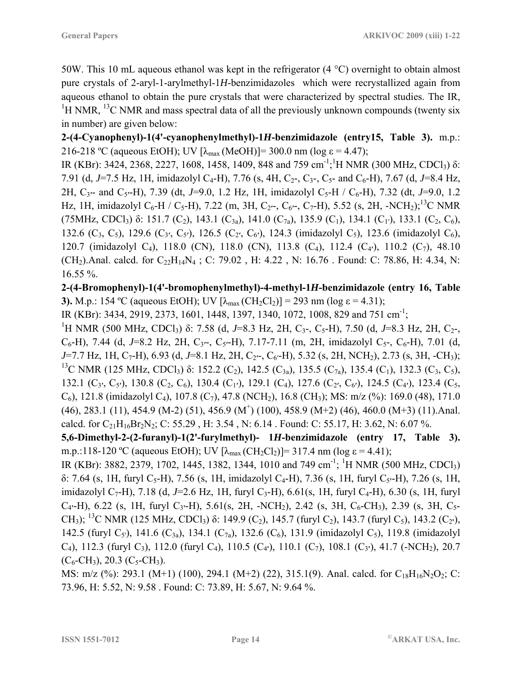50W. This 10 mL aqueous ethanol was kept in the refrigerator (4 °C) overnight to obtain almost pure crystals of 2-aryl-1-arylmethyl-1*H*-benzimidazoles which were recrystallized again from aqueous ethanol to obtain the pure crystals that were characterized by spectral studies. The IR, <sup>1</sup>H NMR, <sup>13</sup>C NMR and mass spectral data of all the previously unknown compounds (twenty six in number) are given below:

**2-(4-Cyanophenyl)-1(4'-cyanophenylmethyl)-1***H***-benzimidazole (entry15, Table 3).** m.p.: 216-218 °C (aqueous EtOH); UV  $[\lambda_{\text{max}} (MeOH)] = 300.0 \text{ nm}$  (log  $\varepsilon = 4.47$ );

IR (KBr): 3424, 2368, 2227, 1608, 1458, 1409, 848 and 759 cm<sup>-1</sup>;<sup>1</sup>H NMR (300 MHz, CDCl<sub>3</sub>) δ: 7.91 (d, J=7.5 Hz, 1H, imidazolyl C<sub>4</sub>-H), 7.76 (s, 4H, C<sub>2</sub>-, C<sub>3</sub>-, C<sub>5</sub>- and C<sub>6</sub>-H), 7.67 (d, J=8.4 Hz, 2H, C<sub>3</sub><sup> $-$ </sup> and C<sub>5</sub><sup> $-$ </sup>H), 7.39 (dt, *J*=9.0, 1.2 Hz, 1H, imidazolyl C<sub>5</sub>-H / C<sub>6</sub>-H), 7.32 (dt, *J*=9.0, 1.2 Hz, 1H, imidazolyl C<sub>6</sub>-H / C<sub>5</sub>-H), 7.22 (m, 3H, C<sub>2</sub><sup> $\sim$ </sup>, C<sub>6</sub> $\sim$ , C<sub>7</sub>-H), 5.52 (s, 2H, -NCH<sub>2</sub>);<sup>13</sup>C NMR (75MHz, CDCl<sub>3</sub>) δ: 151.7 (C<sub>2</sub>), 143.1 (C<sub>3a</sub>), 141.0 (C<sub>7a</sub>), 135.9 (C<sub>1</sub>), 134.1 (C<sub>1</sub><sup>'</sup>), 133.1 (C<sub>2</sub>, C<sub>6</sub>), 132.6 (C3, C5), 129.6 (C3**′**, C5**′**), 126.5 (C2**′**, C6**′**), 124.3 (imidazolyl C5), 123.6 (imidazolyl C6), 120.7 (imidazolyl C4), 118.0 (CN), 118.0 (CN), 113.8 (C4), 112.4 (C4**′**), 110.2 (C7), 48.10 (CH<sub>2</sub>).Anal. calcd. for  $C_{22}H_{14}N_4$ ; C: 79.02, H: 4.22, N: 16.76. Found: C: 78.86, H: 4.34, N: 16.55 %.

**2-(4-Bromophenyl)-1(4'-bromophenylmethyl)-4-methyl-1***H***-benzimidazole (entry 16, Table 3).** M.p.: 154 °C (aqueous EtOH); UV  $[\lambda_{max}(CH_2Cl_2)] = 293$  nm (log  $\varepsilon = 4.31$ );

IR (KBr): 3434, 2919, 2373, 1601, 1448, 1397, 1340, 1072, 1008, 829 and 751 cm-1;

<sup>1</sup>H NMR (500 MHz, CDCl<sub>3</sub>) δ: 7.58 (d, *J*=8.3 Hz, 2H, C<sub>3</sub>-, C<sub>5</sub>-H), 7.50 (d, *J*=8.3 Hz, 2H, C<sub>2</sub>-,  $C_6$ -H), 7.44 (d, J=8.2 Hz, 2H, C<sub>3'</sub>-, C<sub>5'</sub>-H), 7.17-7.11 (m, 2H, imidazolyl C<sub>5</sub>-, C<sub>6</sub>-H), 7.01 (d, *J*=7.7 Hz, 1H, C<sub>7</sub>-H), 6.93 (d, *J*=8.1 Hz, 2H, C<sub>2</sub><sup>*-*</sup>, C<sub>6</sub><sup>*-*H), 5.32 (s, 2H, NCH<sub>2</sub>), 2.73 (s, 3H, -CH<sub>3</sub>);</sup> <sup>13</sup>C NMR (125 MHz, CDCl<sub>3</sub>) δ: 152.2 (C<sub>2</sub>), 142.5 (C<sub>3a</sub>), 135.5 (C<sub>7a</sub>), 135.4 (C<sub>1</sub>), 132.3 (C<sub>3</sub>, C<sub>5</sub>), 132.1 (C3**′**, C5**′**), 130.8 (C2, C6), 130.4 (C1**′**), 129.1 (C4), 127.6 (C2**′**, C6**′**), 124.5 (C4**′**), 123.4 (C5,  $(C_6)$ , 121.8 (imidazolyl  $C_4$ ), 107.8 ( $C_7$ ), 47.8 (NCH<sub>2</sub>), 16.8 (CH<sub>3</sub>); MS: m/z (%): 169.0 (48), 171.0  $(46)$ , 283.1  $(11)$ , 454.9  $(M-2)$   $(51)$ , 456.9  $(M<sup>+</sup>)$   $(100)$ , 458.9  $(M+2)$   $(46)$ , 460.0  $(M+3)$   $(11)$ . Anal. calcd. for  $C_{21}H_{16}Br_2N_2$ ; C: 55.29, H: 3.54, N: 6.14. Found: C: 55.17, H: 3.62, N: 6.07 %.

**5,6-Dimethyl-2-(2-furanyl)-1(2'-furylmethyl)- 1***H***-benzimidazole (entry 17, Table 3).** m.p.:118-120 °C (aqueous EtOH); UV  $[\lambda_{\text{max}}(CH_2Cl_2)] = 317.4$  nm (log  $\varepsilon = 4.41$ );

IR (KBr): 3882, 2379, 1702, 1445, 1382, 1344, 1010 and 749 cm<sup>-1</sup>; <sup>1</sup>H NMR (500 MHz, CDCl<sub>3</sub>) δ: 7.64 (s, 1H, furyl C5-H), 7.56 (s, 1H, imidazolyl C4-H), 7.36 (s, 1H, furyl C5**'**-H), 7.26 (s, 1H, imidazolyl C<sub>7</sub>-H), 7.18 (d, *J*=2.6 Hz, 1H, furyl C<sub>3</sub>-H), 6.61(s, 1H, furyl C<sub>4</sub>-H), 6.30 (s, 1H, furyl C<sub>4</sub><sup>-</sup>H), 6.22 (s, 1H, furyl C<sub>3</sub><sup>-</sup>H), 5.61(s, 2H, -NCH<sub>2</sub>), 2.42 (s, 3H, C<sub>6</sub>-CH<sub>3</sub>), 2.39 (s, 3H, C<sub>5</sub>-CH<sub>3</sub>); <sup>13</sup>C NMR (125 MHz, CDCl<sub>3</sub>) δ: 149.9 (C<sub>2</sub>), 145.7 (furyl C<sub>2</sub>), 143.7 (furyl C<sub>5</sub>), 143.2 (C<sub>2</sub><sup>)</sup>), 142.5 (furyl C<sub>5</sub>'), 141.6 (C<sub>3a</sub>), 134.1 (C<sub>7a</sub>), 132.6 (C<sub>6</sub>), 131.9 (imidazolyl C<sub>5</sub>), 119.8 (imidazolyl C<sub>4</sub>), 112.3 (furyl C<sub>3</sub>), 112.0 (furyl C<sub>4</sub>), 110.5 (C<sub>4</sub><sup>t</sup>), 110.1 (C<sub>7</sub>), 108.1 (C<sub>3</sub><sup>t</sup>), 41.7 (-NCH<sub>2</sub>), 20.7  $(C_6$ -CH<sub>3</sub>), 20.3  $(C_5$ -CH<sub>3</sub>).

MS: m/z (%): 293.1 (M+1) (100), 294.1 (M+2) (22), 315.1(9). Anal. calcd. for  $C_{18}H_{16}N_2O_2$ ; C: 73.96, H: 5.52, N: 9.58 . Found: C: 73.89, H: 5.67, N: 9.64 %.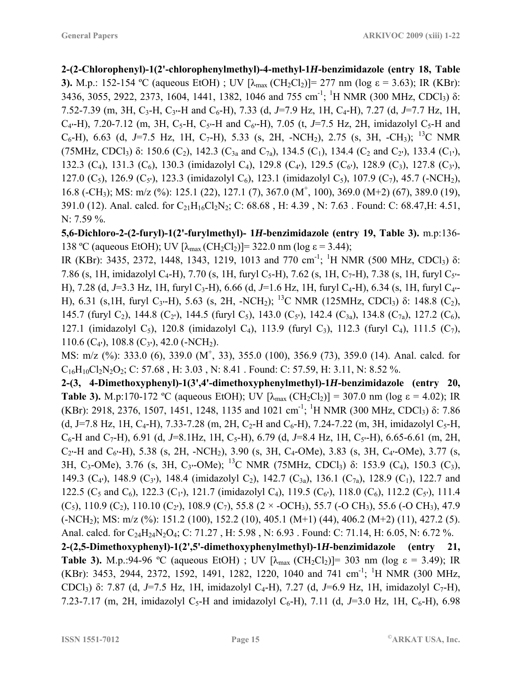**2-(2-Chlorophenyl)-1(2'-chlorophenylmethyl)-4-methyl-1***H***-benzimidazole (entry 18, Table 3).** M.p.: 152-154 °C (aqueous EtOH) ; UV  $[\lambda_{max}(CH_2Cl_2)] = 277$  nm (log  $\varepsilon = 3.63$ ); IR (KBr): 3436, 3055, 2922, 2373, 1604, 1441, 1382, 1046 and 755 cm<sup>-1</sup>; <sup>1</sup>H NMR (300 MHz, CDCl<sub>3</sub>)  $\delta$ : 7.52-7.39 (m, 3H, C3-H, C3**'**-H and C6-H), 7.33 (d, *J*=7.9 Hz, 1H, C4-H), 7.27 (d, *J*=7.7 Hz, 1H,  $C_4$ <sup>-</sup>H), 7.20-7.12 (m, 3H, C<sub>5</sub><sup>-</sup>H, C<sub>5</sub><sup>-</sup>H and C<sub>6</sub><sup>-</sup>H), 7.05 (t, *J*=7.5 Hz, 2H, imidazolyl C<sub>5</sub>-H and  $C_6$ -H), 6.63 (d, J=7.5 Hz, 1H, C<sub>7</sub>-H), 5.33 (s, 2H, -NCH<sub>2</sub>), 2.75 (s, 3H, -CH<sub>3</sub>); <sup>13</sup>C NMR (75MHz, CDCl<sub>3</sub>) δ: 150.6 (C<sub>2</sub>), 142.3 (C<sub>3a</sub> and C<sub>7a</sub>), 134.5 (C<sub>1</sub>), 134.4 (C<sub>2</sub> and C<sub>2</sub><sup>'</sup>), 133.4 (C<sub>1</sub><sup>'</sup>), 132.3 (C4), 131.3 (C6), 130.3 (imidazolyl C4), 129.8 (C4**'**), 129.5 (C6**'**), 128.9 (C3), 127.8 (C3**'**), 127.0 (C5), 126.9 (C5**'**), 123.3 (imidazolyl C6), 123.1 (imidazolyl C5), 107.9 (C7), 45.7 (-NCH2), 16.8 (-CH<sub>3</sub>); MS: m/z (%): 125.1 (22), 127.1 (7), 367.0 (M<sup>+</sup>, 100), 369.0 (M+2) (67), 389.0 (19), 391.0 (12). Anal. calcd. for  $C_{21}H_{16}Cl_2N_2$ ; C: 68.68, H: 4.39, N: 7.63. Found: C: 68.47, H: 4.51, N: 7.59 %.

**5,6-Dichloro-2-(2-furyl)-1(2'-furylmethyl)- 1***H***-benzimidazole (entry 19, Table 3).** m.p:136- 138 °C (aqueous EtOH); UV  $[\lambda_{max}(CH_2Cl_2)] = 322.0$  nm (log  $\varepsilon = 3.44$ );

IR (KBr): 3435, 2372, 1448, 1343, 1219, 1013 and 770 cm<sup>-1</sup>; <sup>1</sup>H NMR (500 MHz, CDCl<sub>3</sub>)  $\delta$ : 7.86 (s, 1H, imidazolyl C<sub>4</sub>-H), 7.70 (s, 1H, furyl C<sub>5</sub>-H), 7.62 (s, 1H, C<sub>7</sub>-H), 7.38 (s, 1H, furyl C<sub>5</sub><sup>--</sup> H), 7.28 (d, J=3.3 Hz, 1H, furyl C<sub>3</sub>-H), 6.66 (d, J=1.6 Hz, 1H, furyl C<sub>4</sub>-H), 6.34 (s, 1H, furyl C<sub>4</sub><sup>--</sup> H), 6.31 (s,1H, furyl C<sub>3</sub><sup>*-*</sup>H), 5.63 (s, 2H, -NCH<sub>2</sub>); <sup>13</sup>C NMR (125MHz, CDCl<sub>3</sub>) δ: 148.8 (C<sub>2</sub>), 145.7 (furyl C<sub>2</sub>), 144.8 (C<sub>2</sub><sup>'</sup>), 144.5 (furyl C<sub>5</sub>), 143.0 (C<sub>5</sub><sup>'</sup>), 142.4 (C<sub>3a</sub>), 134.8 (C<sub>7a</sub>), 127.2 (C<sub>6</sub>), 127.1 (imidazolyl C<sub>5</sub>), 120.8 (imidazolyl C<sub>4</sub>), 113.9 (furyl C<sub>3</sub>), 112.3 (furyl C<sub>4</sub>), 111.5 (C<sub>7</sub>), 110.6 ( $C_4$ <sup>'</sup>), 108.8 ( $C_3$ <sup>'</sup>), 42.0 (-NCH<sub>2</sub>).

MS: m/z (%): 333.0 (6), 339.0 (M<sup>+</sup>, 33), 355.0 (100), 356.9 (73), 359.0 (14). Anal. calcd. for  $C_{16}H_{10}Cl_2N_2O_2$ ; C: 57.68, H: 3.03, N: 8.41. Found: C: 57.59, H: 3.11, N: 8.52 %.

**2-(3, 4-Dimethoxyphenyl)-1(3',4'-dimethoxyphenylmethyl)-1***H***-benzimidazole (entry 20, Table 3).** M.p:170-172 °C (aqueous EtOH); UV  $[\lambda_{max}(CH_2Cl_2)] = 307.0$  nm (log  $\varepsilon = 4.02$ ); IR (KBr): 2918, 2376, 1507, 1451, 1248, 1135 and 1021 cm<sup>-1</sup>; <sup>1</sup>H NMR (300 MHz, CDCl<sub>3</sub>)  $\delta$ : 7.86 (d, J=7.8 Hz, 1H, C<sub>4</sub>-H), 7.33-7.28 (m, 2H, C<sub>2</sub>-H and C<sub>6</sub>-H), 7.24-7.22 (m, 3H, imidazolyl C<sub>5</sub>-H,  $C_6$ -H and C<sub>7</sub>-H), 6.91 (d, *J*=8.1Hz, 1H, C<sub>5</sub>-H), 6.79 (d, *J*=8.4 Hz, 1H, C<sub>5</sub> $\cdot$ -H), 6.65-6.61 (m, 2H, C2**'**-H and C6**'**-H), 5.38 (s, 2H, -NCH2), 3.90 (s, 3H, C4-OMe), 3.83 (s, 3H, C4**'**-OMe), 3.77 (s, 3H, C3-OMe), 3.76 (s, 3H, C3**'**-OMe); 13C NMR (75MHz, CDCl3) δ: 153.9 (C4), 150.3 (C3), 149.3 (C<sub>4</sub><sup>t</sup>), 148.9 (C<sub>3</sub><sup>t</sup>), 148.4 (imidazolyl C<sub>2</sub>), 142.7 (C<sub>3a</sub>), 136.1 (C<sub>7a</sub>), 128.9 (C<sub>1</sub>), 122.7 and 122.5 (C<sub>5</sub> and C<sub>6</sub>), 122.3 (C<sub>1</sub><sup>'</sup>), 121.7 (imidazolyl C<sub>4</sub>), 119.5 (C<sub>6</sub><sup>'</sup>), 118.0 (C<sub>6</sub>), 112.2 (C<sub>5</sub><sup>'</sup>), 111.4  $(C_5)$ , 110.9  $(C_2)$ , 110.10  $(C_2)$ , 108.9  $(C_7)$ , 55.8 (2 × -OCH<sub>3</sub>), 55.7 (-O CH<sub>3</sub>), 55.6 (-O CH<sub>3</sub>), 47.9  $(-NCH<sub>2</sub>)$ ; MS: m/z (%): 151.2 (100), 152.2 (10), 405.1 (M+1) (44), 406.2 (M+2) (11), 427.2 (5). Anal. calcd. for C<sub>24</sub>H<sub>24</sub>N<sub>2</sub>O<sub>4</sub>; C: 71.27, H: 5.98, N: 6.93. Found: C: 71.14, H: 6.05, N: 6.72 %.

**2-(2,5-Dimethoxyphenyl)-1(2',5'-dimethoxyphenylmethyl)-1***H***-benzimidazole (entry 21, Table 3).** M.p.:94-96 °C (aqueous EtOH) ; UV  $[\lambda_{max} (CH_2Cl_2)] = 303$  nm (log  $\varepsilon = 3.49$ ); IR (KBr): 3453, 2944, 2372, 1592, 1491, 1282, 1220, 1040 and 741 cm<sup>-1</sup>; <sup>1</sup>H NMR (300 MHz, CDCl<sub>3</sub>) δ: 7.87 (d, *J*=7.5 Hz, 1H, imidazolyl C<sub>4</sub>-H), 7.27 (d, *J*=6.9 Hz, 1H, imidazolyl C<sub>7</sub>-H), 7.23-7.17 (m, 2H, imidazolyl C<sub>5</sub>-H and imidazolyl C<sub>6</sub>-H), 7.11 (d, J=3.0 Hz, 1H, C<sub>6</sub>-H), 6.98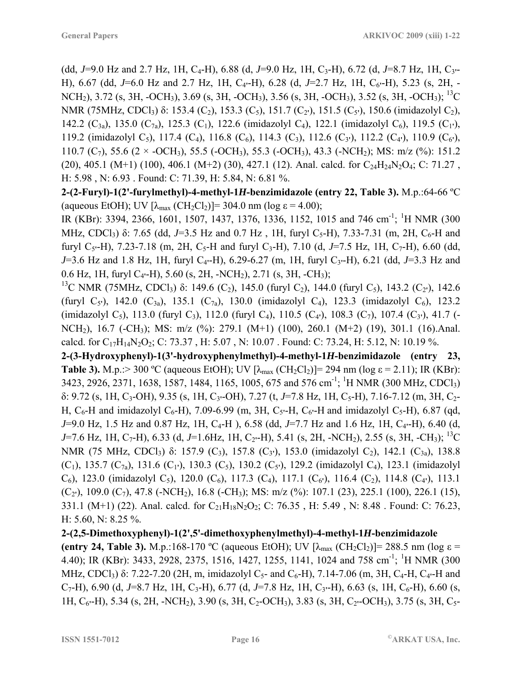(dd,  $J=9.0$  Hz and 2.7 Hz, 1H, C<sub>4</sub>-H), 6.88 (d,  $J=9.0$  Hz, 1H, C<sub>3</sub>-H), 6.72 (d,  $J=8.7$  Hz, 1H, C<sub>3</sub><sup>--</sup> H), 6.67 (dd, *J*=6.0 Hz and 2.7 Hz, 1H, C4**'**-H), 6.28 (d, *J*=2.7 Hz, 1H, C6**'**-H), 5.23 (s, 2H, - NCH<sub>2</sub>), 3.72 (s, 3H, -OCH<sub>3</sub>), 3.69 (s, 3H, -OCH<sub>3</sub>), 3.56 (s, 3H, -OCH<sub>3</sub>), 3.52 (s, 3H, -OCH<sub>3</sub>); <sup>13</sup>C NMR (75MHz, CDCl<sub>3</sub>) δ: 153.4 (C<sub>2</sub>), 153.3 (C<sub>5</sub>), 151.7 (C<sub>2</sub><sup>'</sup>), 151.5 (C<sub>5</sub><sup>'</sup>), 150.6 (imidazolyl C<sub>2</sub>), 142.2 (C3a), 135.0 (C7a), 125.3 (C1), 122.6 (imidazolyl C4), 122.1 (imidazolyl C6), 119.5 (C1**'**), 119.2 (imidazolyl C5), 117.4 (C4), 116.8 (C6), 114.3 (C3), 112.6 (C3**'**), 112.2 (C4**'**), 110.9 (C6**'**), 110.7 (C<sub>7</sub>), 55.6 (2 × -OCH<sub>3</sub>), 55.5 (-OCH<sub>3</sub>), 55.3 (-OCH<sub>3</sub>), 43.3 (-NCH<sub>2</sub>); MS: m/z (%): 151.2 (20), 405.1 (M+1) (100), 406.1 (M+2) (30), 427.1 (12). Anal. calcd. for  $C_{24}H_{24}N_{2}O_{4}$ ; C: 71.27, H: 5.98 , N: 6.93 . Found: C: 71.39, H: 5.84, N: 6.81 %.

**2-(2-Furyl)-1(2'-furylmethyl)-4-methyl-1***H***-benzimidazole (entry 22, Table 3).** M.p.:64-66 ºC (aqueous EtOH); UV  $[\lambda_{\text{max}} (CH_2Cl_2)]= 304.0 \text{ nm}$  (log  $\varepsilon = 4.00$ );

IR (KBr): 3394, 2366, 1601, 1507, 1437, 1376, 1336, 1152, 1015 and 746 cm<sup>-1</sup>; <sup>1</sup>H NMR (300 MHz, CDCl<sub>3</sub>) δ: 7.65 (dd, J=3.5 Hz and 0.7 Hz, 1H, furyl C<sub>5</sub>-H), 7.33-7.31 (m, 2H, C<sub>6</sub>-H and furyl C<sub>5</sub> $-H$ ), 7.23-7.18 (m, 2H, C<sub>5</sub>-H and furyl C<sub>3</sub>-H), 7.10 (d, *J*=7.5 Hz, 1H, C<sub>7</sub>-H), 6.60 (dd, *J*=3.6 Hz and 1.8 Hz, 1H, furyl C4**'**-H), 6.29-6.27 (m, 1H, furyl C3**'**-H), 6.21 (dd, *J*=3.3 Hz and 0.6 Hz, 1H, furyl C4**'**-H), 5.60 (s, 2H, -NCH2), 2.71 (s, 3H, -CH3);

<sup>13</sup>C NMR (75MHz, CDCl<sub>3</sub>) δ: 149.6 (C<sub>2</sub>), 145.0 (furyl C<sub>2</sub>), 144.0 (furyl C<sub>5</sub>), 143.2 (C<sub>2</sub><sup>'</sup>), 142.6 (furyl C5**'**), 142.0 (C3a), 135.1 (C7a), 130.0 (imidazolyl C4), 123.3 (imidazolyl C6), 123.2 (imidazolyl C<sub>5</sub>), 113.0 (furyl C<sub>3</sub>), 112.0 (furyl C<sub>4</sub>), 110.5 (C<sub>4</sub><sup>t</sup>), 108.3 (C<sub>7</sub>), 107.4 (C<sub>3</sub><sup>t</sup>), 41.7 (-NCH<sub>2</sub>), 16.7 (-CH<sub>3</sub>); MS: m/z (%): 279.1 (M+1) (100), 260.1 (M+2) (19), 301.1 (16).Anal. calcd. for  $C_{17}H_{14}N_2O_2$ ; C: 73.37, H: 5.07, N: 10.07. Found: C: 73.24, H: 5.12, N: 10.19 %.

**2-(3-Hydroxyphenyl)-1(3'-hydroxyphenylmethyl)-4-methyl-1***H***-benzimidazole (entry 23, Table 3).** M.p.:> 300 °C (aqueous EtOH); UV  $[\lambda_{max}$  (CH<sub>2</sub>Cl<sub>2</sub>)]= 294 nm (log  $\varepsilon$  = 2.11); IR (KBr): 3423, 2926, 2371, 1638, 1587, 1484, 1165, 1005, 675 and 576 cm<sup>-1</sup>; <sup>1</sup>H NMR (300 MHz, CDCl<sub>3</sub>) δ: 9.72 (s, 1H, C3-OH), 9.35 (s, 1H, C3**'**-OH), 7.27 (t, *J*=7.8 Hz, 1H, C5-H), 7.16-7.12 (m, 3H, C2- H,  $C_6$ -H and imidazolyl  $C_6$ -H), 7.09-6.99 (m, 3H,  $C_5$ -H,  $C_6$ <sup>-</sup>H and imidazolyl  $C_5$ -H), 6.87 (qd, *J*=9.0 Hz, 1.5 Hz and 0.87 Hz, 1H, C<sub>4</sub>-H), 6.58 (dd, *J*=7.7 Hz and 1.6 Hz, 1H, C<sub>4</sub><sup>-</sup>H), 6.40 (d, *J*=7.6 Hz, 1H, C<sub>7</sub>-H), 6.33 (d, *J*=1.6Hz, 1H, C<sub>2</sub><sup>-</sup>H), 5.41 (s, 2H, -NCH<sub>2</sub>), 2.55 (s, 3H, -CH<sub>3</sub>); <sup>13</sup>C NMR (75 MHz, CDCl<sub>3</sub>) δ: 157.9 (C<sub>3</sub>), 157.8 (C<sub>3</sub><sup>)</sup>), 153.0 (imidazolyl C<sub>2</sub>), 142.1 (C<sub>3a</sub>), 138.8 (C1), 135.7 (C7a), 131.6 (C1**'**), 130.3 (C5), 130.2 (C5**'**), 129.2 (imidazolyl C4), 123.1 (imidazolyl  $(C_6)$ , 123.0 (imidazolyl  $C_5$ ), 120.0 ( $C_6$ ), 117.3 ( $C_4$ ), 117.1 ( $C_6$ <sup>'</sup>), 116.4 ( $C_2$ ), 114.8 ( $C_4$ <sup>'</sup>), 113.1 (C2**'**), 109.0 (C7), 47.8 (-NCH2), 16.8 (-CH3); MS: m/z (%): 107.1 (23), 225.1 (100), 226.1 (15), 331.1 (M+1) (22). Anal. calcd. for  $C_{21}H_{18}N_2O_2$ ; C: 76.35, H: 5.49, N: 8.48. Found: C: 76.23, H:  $5.60$ , N:  $8.25\%$ .

**2-(2,5-Dimethoxyphenyl)-1(2',5'-dimethoxyphenylmethyl)-4-methyl-1***H***-benzimidazole (entry 24, Table 3).** M.p.:168-170 °C (aqueous EtOH); UV  $[\lambda_{\text{max}} (CH_2Cl_2)] = 288.5 \text{ nm}$  (log  $\varepsilon$  = 4.40); IR (KBr): 3433, 2928, 2375, 1516, 1427, 1255, 1141, 1024 and 758 cm<sup>-1</sup>; <sup>1</sup>H NMR (300 MHz, CDCl<sub>3</sub>) δ: 7.22-7.20 (2H, m, imidazolyl C<sub>5</sub>- and C<sub>6</sub>-H), 7.14-7.06 (m, 3H, C<sub>4</sub>-H, C<sub>4</sub><sup>-</sup>H and  $C_7$ -H), 6.90 (d, *J*=8.7 Hz, 1H, C<sub>3</sub>-H), 6.77 (d, *J*=7.8 Hz, 1H, C<sub>3</sub><sup>-H</sup>), 6.63 (s, 1H, C<sub>6</sub>-H), 6.60 (s, 1H, C6**'**-H), 5.34 (s, 2H, -NCH2), 3.90 (s, 3H, C2-OCH3), 3.83 (s, 3H, C2**'**-OCH3), 3.75 (s, 3H, C5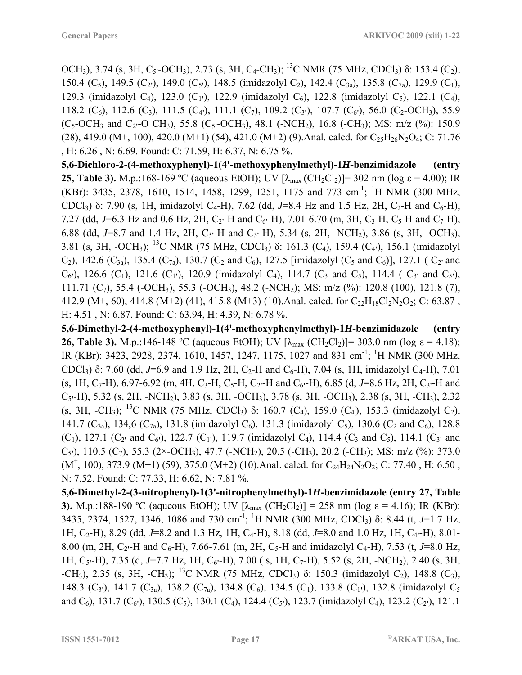OCH<sub>3</sub>), 3.74 (s, 3H, C<sub>5</sub><sup>*-*</sup>OCH<sub>3</sub>), 2.73 (s, 3H, C<sub>4</sub><sup>-</sup>CH<sub>3</sub>); <sup>13</sup>C NMR (75 MHz, CDCl<sub>3</sub>) δ: 153.4 (C<sub>2</sub>), 150.4 (C<sub>5</sub>), 149.5 (C<sub>2</sub><sup>'</sup>), 149.0 (C<sub>5</sub><sup>'</sup>), 148.5 (imidazolyl C<sub>2</sub>), 142.4 (C<sub>3a</sub>), 135.8 (C<sub>7a</sub>), 129.9 (C<sub>1</sub>), 129.3 (imidazolyl C4), 123.0 (C1**'**), 122.9 (imidazolyl C6), 122.8 (imidazolyl C5), 122.1 (C4), 118.2 (C<sub>6</sub>), 112.6 (C<sub>3</sub>), 111.5 (C<sub>4</sub><sup>t</sup>), 111.1 (C<sub>7</sub>), 109.2 (C<sub>3</sub><sup>t</sup>), 107.7 (C<sub>6</sub><sup>t</sup>), 56.0 (C<sub>2</sub>-OCH<sub>3</sub>), 55.9 (C<sub>5</sub>-OCH<sub>3</sub> and C<sub>2</sub><sup>-</sup>O CH<sub>3</sub>), 55.8 (C<sub>5</sub><sup>-</sup>OCH<sub>3</sub>), 48.1 (-NCH<sub>2</sub>), 16.8 (-CH<sub>3</sub>); MS: m/z (%): 150.9 (28), 419.0 (M+, 100), 420.0 (M+1) (54), 421.0 (M+2) (9). Anal. calcd. for  $C_{25}H_{26}N_2O_4$ ; C: 71.76 , H: 6.26 , N: 6.69. Found: C: 71.59, H: 6.37, N: 6.75 %.

**5,6-Dichloro-2-(4-methoxyphenyl)-1(4'-methoxyphenylmethyl)-1***H***-benzimidazole (entry 25, Table 3).** M.p.:168-169 °C (aqueous EtOH); UV  $[\lambda_{max}(CH_2Cl_2)] = 302$  nm (log  $\varepsilon = 4.00$ ); IR (KBr): 3435, 2378, 1610, 1514, 1458, 1299, 1251, 1175 and 773 cm<sup>-1</sup>; <sup>1</sup>H NMR (300 MHz, CDCl<sub>3</sub>) δ: 7.90 (s, 1H, imidazolyl C<sub>4</sub>-H), 7.62 (dd, J=8.4 Hz and 1.5 Hz, 2H, C<sub>2</sub>-H and C<sub>6</sub>-H), 7.27 (dd,  $J=6.3$  Hz and 0.6 Hz, 2H, C<sub>2</sub><sup>-</sup>H and C<sub>6</sub><sup>-</sup>H), 7.01-6.70 (m, 3H, C<sub>3</sub>-H, C<sub>5</sub>-H and C<sub>7</sub>-H), 6.88 (dd, *J*=8.7 and 1.4 Hz, 2H, C3**'**-H and C5**'**-H), 5.34 (s, 2H, -NCH2), 3.86 (s, 3H, -OCH3), 3.81 (s, 3H, -OCH3); 13C NMR (75 MHz, CDCl3) δ: 161.3 (C4), 159.4 (C4**'**), 156.1 (imidazolyl  $(C_2)$ , 142.6  $(C_{3a})$ , 135.4  $(C_{7a})$ , 130.7  $(C_2$  and  $C_6)$ , 127.5 [imidazolyl  $(C_5$  and  $C_6)$ ], 127.1 ( $C_2$ <sup>*'*</sup> and  $(C_6$ <sup>'</sup>), 126.6  $(C_1)$ , 121.6  $(C_1$ <sup>'</sup>), 120.9 (imidazolyl  $C_4$ ), 114.7  $(C_3$  and  $C_5$ ), 114.4 ( $C_3$ <sup>*'*</sup> and  $C_5$ <sup>'</sup>), 111.71  $(C_7)$ , 55.4 (-OCH<sub>3</sub>), 55.3 (-OCH<sub>3</sub>), 48.2 (-NCH<sub>2</sub>); MS: m/z (%): 120.8 (100), 121.8 (7), 412.9 (M+, 60), 414.8 (M+2) (41), 415.8 (M+3) (10). Anal. calcd. for  $C_{22}H_{18}Cl_2N_2O_2$ ; C: 63.87, H: 4.51 , N: 6.87. Found: C: 63.94, H: 4.39, N: 6.78 %.

**5,6-Dimethyl-2-(4-methoxyphenyl)-1(4'-methoxyphenylmethyl)-1***H***-benzimidazole (entry 26, Table 3).** M.p.:146-148 °C (aqueous EtOH); UV  $[\lambda_{max}$  (CH<sub>2</sub>Cl<sub>2</sub>)]= 303.0 nm (log  $\varepsilon = 4.18$ ); IR (KBr): 3423, 2928, 2374, 1610, 1457, 1247, 1175, 1027 and 831 cm<sup>-1</sup>; <sup>1</sup>H NMR (300 MHz, CDCl<sub>3</sub>) δ: 7.60 (dd, J=6.9 and 1.9 Hz, 2H, C<sub>2</sub>-H and C<sub>6</sub>-H), 7.04 (s, 1H, imidazolyl C<sub>4</sub>-H), 7.01  $(s, 1H, C_7-H)$ , 6.97-6.92 (m, 4H, C<sub>3</sub>-H, C<sub>5</sub>-H, C<sub>2</sub><sup>-</sup>H and C<sub>6</sub><sup>-</sup>H), 6.85 (d, *J*=8.6 Hz, 2H, C<sub>3</sub><sup>-</sup>H and C5**'**-H), 5.32 (s, 2H, -NCH2), 3.83 (s, 3H, -OCH3), 3.78 (s, 3H, -OCH3), 2.38 (s, 3H, -CH3), 2.32 (s, 3H, -CH<sub>3</sub>); <sup>13</sup>C NMR (75 MHz, CDCl<sub>3</sub>) δ: 160.7 (C<sub>4</sub>), 159.0 (C<sub>4</sub>), 153.3 (imidazolyl C<sub>2</sub>), 141.7 (C<sub>3a</sub>), 134,6 (C<sub>7a</sub>), 131.8 (imidazolyl C<sub>6</sub>), 131.3 (imidazolyl C<sub>5</sub>), 130.6 (C<sub>2</sub> and C<sub>6</sub>), 128.8  $(C_1)$ , 127.1  $(C_2$ <sup>*'*</sup> and  $C_6$ <sup>'</sup>), 122.7  $(C_1$ <sup>'</sup>), 119.7 (imidazolyl  $C_4$ ), 114.4  $(C_3$  and  $C_5$ ), 114.1  $(C_3$ <sup>*'*</sup> and C<sub>5</sub><sup>'</sup>), 110.5 (C<sub>7</sub>), 55.3 (2×-OCH<sub>3</sub>), 47.7 (-NCH<sub>2</sub>), 20.5 (-CH<sub>3</sub>), 20.2 (-CH<sub>3</sub>); MS: m/z (%): 373.0  $(M^+$ , 100), 373.9 (M+1) (59), 375.0 (M+2) (10). Anal. calcd. for C<sub>24</sub>H<sub>24</sub>N<sub>2</sub>O<sub>2</sub>; C: 77.40, H: 6.50, N: 7.52. Found: C: 77.33, H: 6.62, N: 7.81 %.

**5,6-Dimethyl-2-(3-nitrophenyl)-1(3'-nitrophenylmethyl)-1***H***-benzimidazole (entry 27, Table 3).** M.p.:188-190 °C (aqueous EtOH); UV  $[\lambda_{\text{max}} (CH_2Cl_2)] = 258$  nm (log  $\varepsilon = 4.16$ ); IR (KBr): 3435, 2374, 1527, 1346, 1086 and 730 cm-1; 1 H NMR (300 MHz, CDCl3) δ: 8.44 (t, *J*=1.7 Hz, 1H, C2-H), 8.29 (dd, *J*=8.2 and 1.3 Hz, 1H, C4-H), 8.18 (dd, *J*=8.0 and 1.0 Hz, 1H, C4**'**-H), 8.01- 8.00 (m, 2H, C<sub>2</sub><sup>-</sup>H and C<sub>6</sub>-H), 7.66-7.61 (m, 2H, C<sub>5</sub>-H and imidazolyl C<sub>4</sub>-H), 7.53 (t, *J*=8.0 Hz, 1H, C5**'**-H), 7.35 (d, *J*=7.7 Hz, 1H, C6**'**-H), 7.00 ( s, 1H, C7-H), 5.52 (s, 2H, -NCH2), 2.40 (s, 3H,  $-CH_3$ ), 2.35 (s, 3H,  $-CH_3$ ); <sup>13</sup>C NMR (75 MHz, CDCl<sub>3</sub>) δ: 150.3 (imidazolyl C<sub>2</sub>), 148.8 (C<sub>3</sub>), 148.3 (C<sub>3</sub><sup>'</sup>), 141.7 (C<sub>3a</sub>), 138.2 (C<sub>7a</sub>), 134.8 (C<sub>6</sub>), 134.5 (C<sub>1</sub>), 133.8 (C<sub>1</sub><sup>'</sup>), 132.8 (imidazolyl C<sub>5</sub>) and  $C_6$ ), 131.7 ( $C_6$ <sup>'</sup>), 130.5 ( $C_5$ ), 130.1 ( $C_4$ ), 124.4 ( $C_5$ <sup>'</sup>), 123.7 (imidazolyl  $C_4$ ), 123.2 ( $C_2$ <sup>'</sup>), 121.1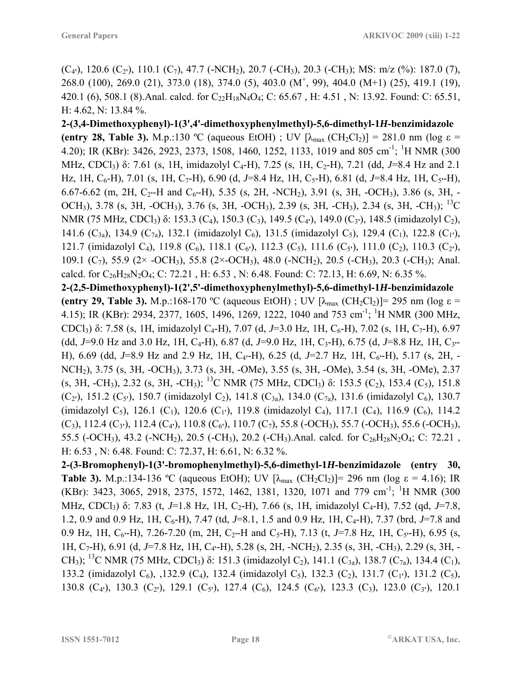$(C_4$ <sup>'</sup>), 120.6  $(C_2$ <sup>'</sup>), 110.1  $(C_7)$ , 47.7 (-NCH<sub>2</sub>), 20.7 (-CH<sub>3</sub>), 20.3 (-CH<sub>3</sub>); MS: m/z (%): 187.0 (7), 268.0 (100), 269.0 (21), 373.0 (18), 374.0 (5), 403.0 (M<sup>+</sup>, 99), 404.0 (M+1) (25), 419.1 (19), 420.1 (6), 508.1 (8). Anal. calcd. for  $C_{22}H_{18}N_4O_4$ ; C: 65.67, H: 4.51, N: 13.92. Found: C: 65.51, H: 4.62, N: 13.84 %.

**2-(3,4-Dimethoxyphenyl)-1(3',4'-dimethoxyphenylmethyl)-5,6-dimethyl-1***H***-benzimidazole (entry 28, Table 3).** M.p.:130 °C (aqueous EtOH) ; UV  $[\lambda_{max} (CH_2Cl_2)] = 281.0$  nm (log  $\varepsilon$  = 4.20); IR (KBr): 3426, 2923, 2373, 1508, 1460, 1252, 1133, 1019 and 805 cm<sup>-1</sup>; <sup>1</sup>H NMR (300 MHz, CDCl<sub>3</sub>) δ: 7.61 (s, 1H, imidazolyl C<sub>4</sub>-H), 7.25 (s, 1H, C<sub>2</sub>-H), 7.21 (dd, *J*=8.4 Hz and 2.1 Hz, 1H, C<sub>6</sub>-H), 7.01 (s, 1H, C<sub>7</sub>-H), 6.90 (d, J=8.4 Hz, 1H, C<sub>5</sub>-H), 6.81 (d, J=8.4 Hz, 1H, C<sub>5</sub><sup>-</sup>H), 6.67-6.62 (m, 2H, C2**'**-H and C6**'**-H), 5.35 (s, 2H, -NCH2), 3.91 (s, 3H, -OCH3), 3.86 (s, 3H, - OCH<sub>3</sub>), 3.78 (s, 3H, -OCH<sub>3</sub>), 3.76 (s, 3H, -OCH<sub>3</sub>), 2.39 (s, 3H, -CH<sub>3</sub>), 2.34 (s, 3H, -CH<sub>3</sub>); <sup>13</sup>C NMR (75 MHz, CDCl<sub>3</sub>) δ: 153.3 (C<sub>4</sub>), 150.3 (C<sub>3</sub>), 149.5 (C<sub>4</sub><sup>t</sup>), 149.0 (C<sub>3</sub><sup>t</sup>), 148.5 (imidazolyl C<sub>2</sub>), 141.6 (C3a), 134.9 (C7a), 132.1 (imidazolyl C6), 131.5 (imidazolyl C5), 129.4 (C1), 122.8 (C1**'**), 121.7 (imidazolyl C<sub>4</sub>), 119.8 (C<sub>6</sub>), 118.1 (C<sub>6</sub><sup>'</sup>), 112.3 (C<sub>5</sub>), 111.6 (C<sub>5</sub><sup>'</sup>), 111.0 (C<sub>2</sub>), 110.3 (C<sub>2</sub><sup>'</sup>), 109.1 (C<sub>7</sub>), 55.9 (2× -OCH<sub>3</sub>), 55.8 (2× -OCH<sub>3</sub>), 48.0 (-NCH<sub>2</sub>), 20.5 (-CH<sub>3</sub>), 20.3 (-CH<sub>3</sub>); Anal. calcd. for  $C_{26}H_{28}N_2O_4$ ; C: 72.21, H: 6.53, N: 6.48. Found: C: 72.13, H: 6.69, N: 6.35%.

**2-(2,5-Dimethoxyphenyl)-1(2',5'-dimethoxyphenylmethyl)-5,6-dimethyl-1***H***-benzimidazole (entry 29, Table 3).** M.p.:168-170 °C (aqueous EtOH) ; UV  $[\lambda_{max}$  (CH<sub>2</sub>Cl<sub>2</sub>)]= 295 nm (log  $\varepsilon$  = 4.15); IR (KBr): 2934, 2377, 1605, 1496, 1269, 1222, 1040 and 753 cm<sup>-1</sup>; <sup>1</sup>H NMR (300 MHz, CDCl<sub>3</sub>) δ: 7.58 (s, 1H, imidazolyl C<sub>4</sub>-H), 7.07 (d, *J*=3.0 Hz, 1H, C<sub>6</sub>-H), 7.02 (s, 1H, C<sub>7</sub>-H), 6.97 (dd,  $J=9.0$  Hz and 3.0 Hz, 1H, C<sub>4</sub>-H), 6.87 (d,  $J=9.0$  Hz, 1H, C<sub>3</sub>-H), 6.75 (d,  $J=8.8$  Hz, 1H, C<sub>3</sub><sup>--</sup> H), 6.69 (dd, *J*=8.9 Hz and 2.9 Hz, 1H, C4**'**-H), 6.25 (d, *J*=2.7 Hz, 1H, C6**'**-H), 5.17 (s, 2H, - NCH2), 3.75 (s, 3H, -OCH3), 3.73 (s, 3H, -OMe), 3.55 (s, 3H, -OMe), 3.54 (s, 3H, -OMe), 2.37 (s, 3H, -CH<sub>3</sub>), 2.32 (s, 3H, -CH<sub>3</sub>); <sup>13</sup>C NMR (75 MHz, CDCl<sub>3</sub>) δ: 153.5 (C<sub>2</sub>), 153.4 (C<sub>5</sub>), 151.8  $(C_2$ <sup>'</sup>), 151.2  $(C_5$ <sup>'</sup>), 150.7 (imidazolyl C<sub>2</sub>), 141.8  $(C_{3a})$ , 134.0  $(C_{7a})$ , 131.6 (imidazolyl C<sub>6</sub>), 130.7 (imidazolyl C<sub>5</sub>), 126.1 (C<sub>1</sub>), 120.6 (C<sub>1</sub><sup>'</sup>), 119.8 (imidazolyl C<sub>4</sub>), 117.1 (C<sub>4</sub>), 116.9 (C<sub>6</sub>), 114.2  $(C_3)$ , 112.4  $(C_3)$ , 112.4  $(C_4)$ , 110.8  $(C_6)$ , 110.7  $(C_7)$ , 55.8 (-OCH<sub>3</sub>), 55.7 (-OCH<sub>3</sub>), 55.6 (-OCH<sub>3</sub>), 55.5 (-OCH<sub>3</sub>), 43.2 (-NCH<sub>2</sub>), 20.5 (-CH<sub>3</sub>), 20.2 (-CH<sub>3</sub>). Anal. calcd. for C<sub>26</sub>H<sub>28</sub>N<sub>2</sub>O<sub>4</sub>; C: 72.21, H: 6.53 , N: 6.48. Found: C: 72.37, H: 6.61, N: 6.32 %.

**2-(3-Bromophenyl)-1(3'-bromophenylmethyl)-5,6-dimethyl-1***H***-benzimidazole (entry 30, Table 3).** M.p.:134-136 °C (aqueous EtOH); UV  $[\lambda_{\text{max}} (CH_2Cl_2)] = 296$  nm (log  $\varepsilon = 4.16$ ); IR (KBr): 3423, 3065, 2918, 2375, 1572, 1462, 1381, 1320, 1071 and 779 cm<sup>-1</sup>; <sup>1</sup>H NMR (300 MHz, CDCl<sub>3</sub>) δ: 7.83 (t, *J*=1.8 Hz, 1H, C<sub>2</sub>-H), 7.66 (s, 1H, imidazolyl C<sub>4</sub>-H), 7.52 (qd, *J*=7.8, 1.2, 0.9 and 0.9 Hz, 1H, C<sub>6</sub>-H), 7.47 (td, *J*=8.1, 1.5 and 0.9 Hz, 1H, C<sub>4</sub>-H), 7.37 (brd, *J*=7.8 and 0.9 Hz, 1H, C<sub>6</sub><sup> $\cdot$ </sup>H), 7.26-7.20 (m, 2H, C<sub>2</sub> $\cdot$ -H and C<sub>5</sub>-H), 7.13 (t, *J*=7.8 Hz, 1H, C<sub>5</sub> $\cdot$ -H), 6.95 (s, 1H, C7-H), 6.91 (d, *J*=7.8 Hz, 1H, C4**'**-H), 5.28 (s, 2H, -NCH2), 2.35 (s, 3H, -CH3), 2.29 (s, 3H, - CH<sub>3</sub>); <sup>13</sup>C NMR (75 MHz, CDCl<sub>3</sub>) δ: 151.3 (imidazolyl C<sub>2</sub>), 141.1 (C<sub>3a</sub>), 138.7 (C<sub>7a</sub>), 134.4 (C<sub>1</sub>), 133.2 (imidazolyl C<sub>6</sub>), ,132.9 (C<sub>4</sub>), 132.4 (imidazolyl C<sub>5</sub>), 132.3 (C<sub>2</sub>), 131.7 (C<sub>1</sub><sup>'</sup>), 131.2 (C<sub>5</sub>), 130.8 (C4**'**), 130.3 (C2**'**), 129.1 (C5**'**), 127.4 (C6), 124.5 (C6**'**), 123.3 (C3), 123.0 (C3**'**), 120.1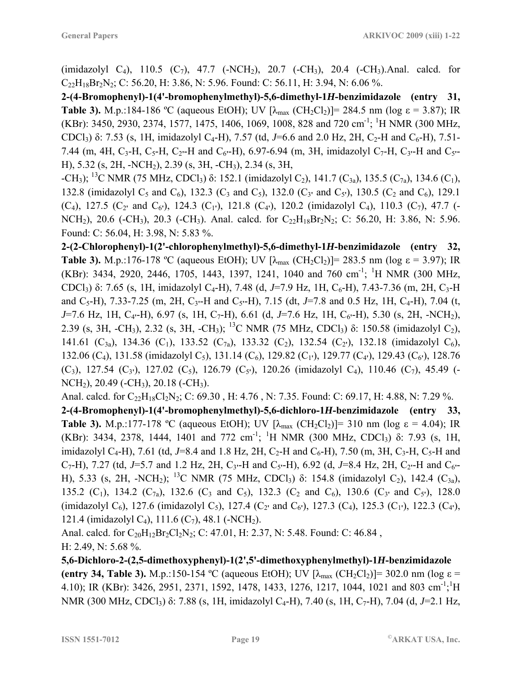(imidazolyl C<sub>4</sub>), 110.5 (C<sub>7</sub>), 47.7 (-NCH<sub>2</sub>), 20.7 (-CH<sub>3</sub>), 20.4 (-CH<sub>3</sub>). Anal. calcd. for  $C_{22}H_{18}Br_2N_2$ ; C: 56.20, H: 3.86, N: 5.96. Found: C: 56.11, H: 3.94, N: 6.06 %.

**2-(4-Bromophenyl)-1(4'-bromophenylmethyl)-5,6-dimethyl-1***H***-benzimidazole (entry 31, Table 3).** M.p.:184-186 °C (aqueous EtOH); UV  $[\lambda_{max}$  (CH<sub>2</sub>Cl<sub>2</sub>)]= 284.5 nm (log  $\varepsilon$  = 3.87); IR (KBr): 3450, 2930, 2374, 1577, 1475, 1406, 1069, 1008, 828 and 720 cm<sup>-1</sup>; <sup>1</sup>H NMR (300 MHz, CDCl<sub>3</sub>) δ: 7.53 (s, 1H, imidazolyl C<sub>4</sub>-H), 7.57 (td, *J*=6.6 and 2.0 Hz, 2H, C<sub>2</sub>-H and C<sub>6</sub>-H), 7.51-7.44 (m, 4H, C3-H, C5-H, C2**'**-H and C6**'**-H), 6.97-6.94 (m, 3H, imidazolyl C7-H, C3**'**-H and C5**'**- H), 5.32 (s, 2H, -NCH2), 2.39 (s, 3H, -CH3), 2.34 (s, 3H,

 $-CH_3$ ); <sup>13</sup>C NMR (75 MHz, CDCl<sub>3</sub>) δ: 152.1 (imidazolyl C<sub>2</sub>), 141.7 (C<sub>3a</sub>), 135.5 (C<sub>7a</sub>), 134.6 (C<sub>1</sub>), 132.8 (imidazolyl C<sub>5</sub> and C<sub>6</sub>), 132.3 (C<sub>3</sub> and C<sub>5</sub>), 132.0 (C<sub>3</sub><sup>'</sup> and C<sub>5</sub><sup>'</sup>), 130.5 (C<sub>2</sub> and C<sub>6</sub>), 129.1  $(C_4)$ , 127.5  $(C_2$ <sup>*'*</sup> and  $C_6$ <sup>'</sup>), 124.3  $(C_1$ <sup>'</sup>), 121.8  $(C_4$ <sup>'</sup>), 120.2 (imidazolyl  $C_4$ ), 110.3  $(C_7)$ , 47.7 (-NCH<sub>2</sub>), 20.6 (-CH<sub>3</sub>), 20.3 (-CH<sub>3</sub>). Anal. calcd. for  $C_{22}H_{18}Br_2N_2$ ; C: 56.20, H: 3.86, N: 5.96. Found: C: 56.04, H: 3.98, N: 5.83 %.

**2-(2-Chlorophenyl)-1(2'-chlorophenylmethyl)-5,6-dimethyl-1***H***-benzimidazole (entry 32, Table 3).** M.p.:176-178 °C (aqueous EtOH); UV  $[\lambda_{max}$  (CH<sub>2</sub>Cl<sub>2</sub>)]= 283.5 nm (log  $\varepsilon$  = 3.97); IR (KBr): 3434, 2920, 2446, 1705, 1443, 1397, 1241, 1040 and 760 cm<sup>-1</sup>; <sup>1</sup>H NMR (300 MHz, CDCl<sub>3</sub>) δ: 7.65 (s, 1H, imidazolyl C<sub>4</sub>-H), 7.48 (d, *J*=7.9 Hz, 1H, C<sub>6</sub>-H), 7.43-7.36 (m, 2H, C<sub>3</sub>-H) and C5-H), 7.33-7.25 (m, 2H, C3**'**-H and C5**'**-H), 7.15 (dt, *J*=7.8 and 0.5 Hz, 1H, C4-H), 7.04 (t, *J*=7.6 Hz, 1H, C4**'**-H), 6.97 (s, 1H, C7-H), 6.61 (d, *J*=7.6 Hz, 1H, C6**'**-H), 5.30 (s, 2H, -NCH2), 2.39 (s, 3H, -CH<sub>3</sub>), 2.32 (s, 3H, -CH<sub>3</sub>); <sup>13</sup>C NMR (75 MHz, CDCl<sub>3</sub>) δ: 150.58 (imidazolyl C<sub>2</sub>), 141.61 (C<sub>3a</sub>), 134.36 (C<sub>1</sub>), 133.52 (C<sub>7a</sub>), 133.32 (C<sub>2</sub>), 132.54 (C<sub>2</sub><sup>t</sup>), 132.18 (imidazolyl C<sub>6</sub>), 132.06 (C<sub>4</sub>), 131.58 (imidazolyl C<sub>5</sub>), 131.14 (C<sub>6</sub>), 129.82 (C<sub>1</sub><sup>'</sup>), 129.77 (C<sub>4</sub><sup>'</sup>), 129.43 (C<sub>6</sub><sup>'</sup>), 128.76 (C<sub>3</sub>), 127.54 (C<sub>3</sub><sup>)</sup>, 127.02 (C<sub>5</sub>), 126.79 (C<sub>5</sub><sup>'</sup>), 120.26 (imidazolyl C<sub>4</sub>), 110.46 (C<sub>7</sub>), 45.49 (-NCH<sub>2</sub>), 20.49 (-CH<sub>3</sub>), 20.18 (-CH<sub>3</sub>).

Anal. calcd. for C<sub>22</sub>H<sub>18</sub>Cl<sub>2</sub>N<sub>2</sub>; C: 69.30, H: 4.76, N: 7.35. Found: C: 69.17, H: 4.88, N: 7.29 %. **2-(4-Bromophenyl)-1(4'-bromophenylmethyl)-5,6-dichloro-1***H***-benzimidazole (entry 33, Table 3).** M.p.:177-178 °C (aqueous EtOH); UV  $[\lambda_{max}$  (CH<sub>2</sub>Cl<sub>2</sub>)]= 310 nm (log  $\varepsilon = 4.04$ ); IR (KBr): 3434, 2378, 1444, 1401 and 772 cm<sup>-1</sup>; <sup>1</sup>H NMR (300 MHz, CDCl<sub>3</sub>)  $\delta$ : 7.93 (s, 1H, imidazolyl C<sub>4</sub>-H), 7.61 (td, J=8.4 and 1.8 Hz, 2H, C<sub>2</sub>-H and C<sub>6</sub>-H), 7.50 (m, 3H, C<sub>3</sub>-H, C<sub>5</sub>-H and C<sub>7</sub>-H), 7.27 (td, J=5.7 and 1.2 Hz, 2H, C<sub>3</sub><sup>-</sup>H and C<sub>5</sub><sup>-</sup>H), 6.92 (d, J=8.4 Hz, 2H, C<sub>2</sub><sup>+</sup>H and C<sub>6</sub><sup>-</sup> H), 5.33 (s, 2H, -NCH<sub>2</sub>); <sup>13</sup>C NMR (75 MHz, CDCl<sub>3</sub>) δ: 154.8 (imidazolyl C<sub>2</sub>), 142.4 (C<sub>3a</sub>), 135.2 (C<sub>1</sub>), 134.2 (C<sub>7a</sub>), 132.6 (C<sub>3</sub> and C<sub>5</sub>), 132.3 (C<sub>2</sub> and C<sub>6</sub>), 130.6 (C<sub>3</sub><sup>'</sup> and C<sub>5</sub><sup>'</sup>), 128.0 (imidazolyl C<sub>6</sub>), 127.6 (imidazolyl C<sub>5</sub>), 127.4 (C<sub>2</sub><sup>*'*</sup> and C<sub>6</sub><sup>*'*</sup>), 127.3 (C<sub>4</sub>), 125.3 (C<sub>1</sub><sup>*'*</sup>), 122.3 (C<sub>4</sub><sup>*'*</sup>), 121.4 (imidazolyl C<sub>4</sub>), 111.6 (C<sub>7</sub>), 48.1 (-NCH<sub>2</sub>).

Anal. calcd. for  $C_{20}H_{12}Br_2Cl_2N_2$ ; C: 47.01, H: 2.37, N: 5.48. Found: C: 46.84, H: 2.49, N: 5.68 %.

**5,6-Dichloro-2-(2,5-dimethoxyphenyl)-1(2',5'-dimethoxyphenylmethyl)-1***H***-benzimidazole (entry 34, Table 3).** M.p.:150-154 °C (aqueous EtOH); UV  $[\lambda_{\text{max}} (CH_2Cl_2)] = 302.0$  nm (log  $\varepsilon$  = 4.10); IR (KBr): 3426, 2951, 2371, 1592, 1478, 1433, 1276, 1217, 1044, 1021 and 803 cm<sup>-1</sup>;<sup>1</sup>H NMR (300 MHz, CDCl3) δ: 7.88 (s, 1H, imidazolyl C4-H), 7.40 (s, 1H, C7-H), 7.04 (d, *J*=2.1 Hz,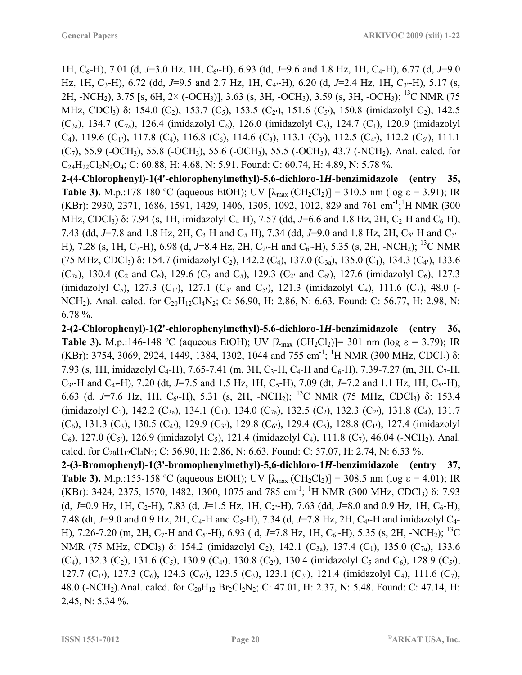1H, C<sub>6</sub>-H), 7.01 (d, J=3.0 Hz, 1H, C<sub>6</sub><sup>-</sup>H), 6.93 (td, J=9.6 and 1.8 Hz, 1H, C<sub>4</sub>-H), 6.77 (d, J=9.0 Hz, 1H, C3-H), 6.72 (dd, *J*=9.5 and 2.7 Hz, 1H, C4**'**-H), 6.20 (d, *J*=2.4 Hz, 1H, C3**'**-H), 5.17 (s, 2H, -NCH2), 3.75 [s, 6H, 2× (-OCH3)], 3.63 (s, 3H, -OCH3), 3.59 (s, 3H, -OCH3); 13C NMR (75 MHz, CDCl<sub>3</sub>) δ: 154.0 (C<sub>2</sub>), 153.7 (C<sub>5</sub>), 153.5 (C<sub>2</sub><sup>'</sup>), 151.6 (C<sub>5</sub><sup>'</sup>), 150.8 (imidazolyl C<sub>2</sub>), 142.5  $(C_{3a})$ , 134.7  $(C_{7a})$ , 126.4 (imidazolyl  $C_6$ ), 126.0 (imidazolyl  $C_5$ ), 124.7  $(C_1)$ , 120.9 (imidazolyl C<sub>4</sub>), 119.6 (C<sub>1</sub><sup>'</sup>), 117.8 (C<sub>4</sub>), 116.8 (C<sub>6</sub>), 114.6 (C<sub>3</sub>), 113.1 (C<sub>3</sub><sup>'</sup>), 112.5 (C<sub>4</sub><sup>'</sup>), 112.2 (C<sub>6</sub><sup>'</sup>), 111.1  $(C_7)$ , 55.9 (-OCH<sub>3</sub>), 55.8 (-OCH<sub>3</sub>), 55.6 (-OCH<sub>3</sub>), 55.5 (-OCH<sub>3</sub>), 43.7 (-NCH<sub>2</sub>). Anal. calcd. for  $C_{24}H_{22}Cl_2N_2O_4$ ; C: 60.88, H: 4.68, N: 5.91. Found: C: 60.74, H: 4.89, N: 5.78 %.

**2-(4-Chlorophenyl)-1(4'-chlorophenylmethyl)-5,6-dichloro-1***H***-benzimidazole (entry 35, Table 3).** M.p.:178-180 °C (aqueous EtOH); UV  $[\lambda_{max}(CH_2Cl_2)] = 310.5$  nm (log  $\varepsilon = 3.91$ ); IR (KBr): 2930, 2371, 1686, 1591, 1429, 1406, 1305, 1092, 1012, 829 and 761 cm<sup>-1</sup>;<sup>1</sup>H NMR (300) MHz, CDCl<sub>3</sub>) δ: 7.94 (s, 1H, imidazolyl C<sub>4</sub>-H), 7.57 (dd, *J*=6.6 and 1.8 Hz, 2H, C<sub>2</sub>-H and C<sub>6</sub>-H), 7.43 (dd,  $J=7.8$  and 1.8 Hz, 2H, C<sub>3</sub>-H and C<sub>5</sub>-H), 7.34 (dd,  $J=9.0$  and 1.8 Hz, 2H, C<sub>3</sub><sup>-H</sup> and C<sub>5</sub><sup>--</sup> H), 7.28 (s, 1H, C<sub>7</sub>-H), 6.98 (d, J=8.4 Hz, 2H, C<sub>2</sub><sup>-</sup>H and C<sub>6</sub><sup>-</sup>H), 5.35 (s, 2H, -NCH<sub>2</sub>); <sup>13</sup>C NMR (75 MHz, CDCl3) δ: 154.7 (imidazolyl C2), 142.2 (C4), 137.0 (C3a), 135.0 (C1), 134.3 (C4**'**), 133.6  $(C_{7a})$ , 130.4  $(C_2$  and  $C_6$ ), 129.6  $(C_3$  and  $C_5$ ), 129.3  $(C_2$ <sup>'</sup> and  $C_6$ <sup>'</sup>), 127.6 (imidazolyl  $C_6$ ), 127.3 (imidazolyl C<sub>5</sub>), 127.3 (C<sub>1</sub><sup>'</sup>), 127.1 (C<sub>3</sub><sup>'</sup> and C<sub>5</sub><sup>'</sup>), 121.3 (imidazolyl C<sub>4</sub>), 111.6 (C<sub>7</sub>), 48.0 (-NCH<sub>2</sub>). Anal. calcd. for  $C_{20}H_{12}Cl_4N_2$ ; C: 56.90, H: 2.86, N: 6.63. Found: C: 56.77, H: 2.98, N: 6.78 %.

**2-(2-Chlorophenyl)-1(2'-chlorophenylmethyl)-5,6-dichloro-1***H***-benzimidazole (entry 36, Table 3).** M.p.:146-148 °C (aqueous EtOH); UV  $[\lambda_{max}$  (CH<sub>2</sub>Cl<sub>2</sub>)]= 301 nm (log  $\varepsilon = 3.79$ ); IR (KBr): 3754, 3069, 2924, 1449, 1384, 1302, 1044 and 755 cm<sup>-1</sup>; <sup>1</sup>H NMR (300 MHz, CDCl<sub>3</sub>)  $\delta$ : 7.93 (s, 1H, imidazolyl C<sub>4</sub>-H), 7.65-7.41 (m, 3H, C<sub>3</sub>-H, C<sub>4</sub>-H and C<sub>6</sub>-H), 7.39-7.27 (m, 3H, C<sub>7</sub>-H,  $C_3$ <sup>-</sup>H and  $C_4$ <sup>-</sup>H), 7.20 (dt, *J*=7.5 and 1.5 Hz, 1H,  $C_5$ -H), 7.09 (dt, *J*=7.2 and 1.1 Hz, 1H,  $C_5$ <sup>-</sup>H), 6.63 (d, *J*=7.6 Hz, 1H,  $C_6$ <sup>-</sup>H), 5.31 (s, 2H, -NCH<sub>2</sub>); <sup>13</sup>C NMR (75 MHz, CDCl<sub>3</sub>) δ: 153.4 (imidazolyl C<sub>2</sub>), 142.2 (C<sub>3a</sub>), 134.1 (C<sub>1</sub>), 134.0 (C<sub>7a</sub>), 132.5 (C<sub>2</sub>), 132.3 (C<sub>2</sub><sup>'</sup>), 131.8 (C<sub>4</sub>), 131.7  $(C_6)$ , 131.3  $(C_3)$ , 130.5  $(C_4)$ , 129.9  $(C_3)$ , 129.8  $(C_6)$ , 129.4  $(C_5)$ , 128.8  $(C_1)$ , 127.4 (imidazolyl) C<sub>6</sub>), 127.0 (C<sub>5</sub><sup>'</sup>), 126.9 (imidazolyl C<sub>5</sub>), 121.4 (imidazolyl C<sub>4</sub>), 111.8 (C<sub>7</sub>), 46.04 (-NCH<sub>2</sub>). Anal. calcd. for  $C_{20}H_{12}Cl_4N_2$ ; C: 56.90, H: 2.86, N: 6.63. Found: C: 57.07, H: 2.74, N: 6.53 %.

**2-(3-Bromophenyl)-1(3'-bromophenylmethyl)-5,6-dichloro-1***H***-benzimidazole (entry 37, Table 3).** M.p.:155-158 °C (aqueous EtOH); UV  $[\lambda_{max}(CH_2Cl_2)] = 308.5$  nm (log  $\varepsilon = 4.01$ ); IR (KBr): 3424, 2375, 1570, 1482, 1300, 1075 and 785 cm<sup>-1</sup>; <sup>1</sup>H NMR (300 MHz, CDCl<sub>3</sub>)  $\delta$ : 7.93 (d, *J*=0.9 Hz, 1H, C<sub>2</sub>-H), 7.83 (d, *J*=1.5 Hz, 1H, C<sub>2</sub><sup>-</sup>H), 7.63 (dd, *J*=8.0 and 0.9 Hz, 1H, C<sub>6</sub>-H), 7.48 (dt, J=9.0 and 0.9 Hz, 2H, C<sub>4</sub>-H and C<sub>5</sub>-H), 7.34 (d, J=7.8 Hz, 2H, C<sub>4</sub>-H and imidazolyl C<sub>4</sub>-H), 7.26-7.20 (m, 2H, C7-H and C5**'**-H), 6.93 ( d, *J*=7.8 Hz, 1H, C6**'**-H), 5.35 (s, 2H, -NCH2); 13C NMR (75 MHz, CDCl<sub>3</sub>) δ: 154.2 (imidazolyl C<sub>2</sub>), 142.1 (C<sub>3a</sub>), 137.4 (C<sub>1</sub>), 135.0 (C<sub>7a</sub>), 133.6  $(C_4)$ , 132.3  $(C_2)$ , 131.6  $(C_5)$ , 130.9  $(C_4)$ , 130.8  $(C_2)$ , 130.4 (imidazolyl  $C_5$  and  $C_6$ ), 128.9  $(C_5)$ , 127.7 (C<sub>1</sub><sup>'</sup>), 127.3 (C<sub>6</sub>), 124.3 (C<sub>6</sub><sup>'</sup>), 123.5 (C<sub>3</sub>), 123.1 (C<sub>3</sub><sup>'</sup>), 121.4 (imidazolyl C<sub>4</sub>), 111.6 (C<sub>7</sub>), 48.0 (-NCH<sub>2</sub>).Anal. calcd. for C<sub>20</sub>H<sub>12</sub> Br<sub>2</sub>Cl<sub>2</sub>N<sub>2</sub>; C: 47.01, H: 2.37, N: 5.48. Found: C: 47.14, H: 2.45, N: 5.34 %.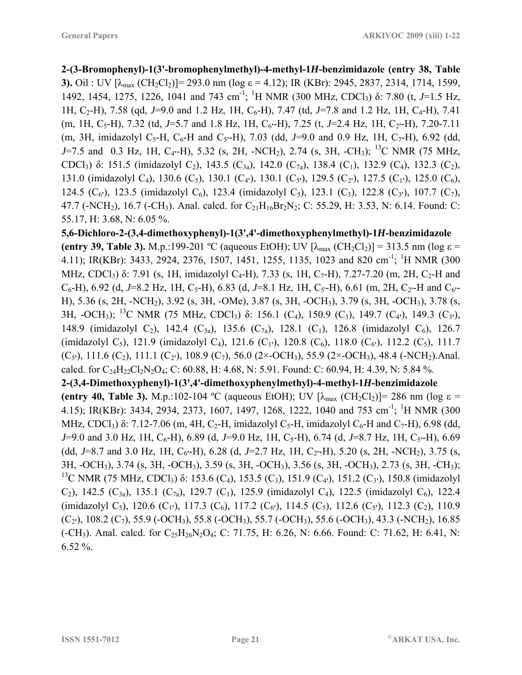**2-(3-Bromophenyl)-1(3'-bromophenylmethyl)-4-methyl-1***H***-benzimidazole (entry 38, Table 3).** Oil : UV  $[\lambda_{max} (CH_2Cl_2)] = 293.0$  nm (log  $\varepsilon = 4.12$ ); IR (KBr): 2945, 2837, 2314, 1714, 1599, 1492, 1454, 1275, 1226, 1041 and 743 cm<sup>-1</sup>; <sup>1</sup>H NMR (300 MHz, CDCl<sub>3</sub>) δ: 7.80 (t, *J*=1.5 Hz, 1H, C<sub>2</sub>-H), 7.58 (qd, J=9.0 and 1.2 Hz, 1H, C<sub>6</sub>-H), 7.47 (td, J=7.8 and 1.2 Hz, 1H, C<sub>4</sub>-H), 7.41 (m, 1H, C<sub>5</sub>-H), 7.32 (td, J=5.7 and 1.8 Hz, 1H, C<sub>6</sub><sup>-</sup>H), 7.25 (t, J=2.4 Hz, 1H, C<sub>2</sub><sup>-</sup>H), 7.20-7.11 (m, 3H, imidazolyl C<sub>5</sub>-H, C<sub>6</sub>-H and C<sub>5</sub><sup>-</sup>H), 7.03 (dd, J=9.0 and 0.9 Hz, 1H, C<sub>7</sub>-H), 6.92 (dd, *J*=7.5 and 0.3 Hz, 1H, C4**'**-H), 5.32 (s, 2H, -NCH2), 2.74 (s, 3H, -CH3); 13C NMR (75 MHz, CDCl<sub>3</sub>) δ: 151.5 (imidazolyl C<sub>2</sub>), 143.5 (C<sub>3a</sub>), 142.0 (C<sub>7a</sub>), 138.4 (C<sub>1</sub>), 132.9 (C<sub>4</sub>), 132.3 (C<sub>2</sub>), 131.0 (imidazolyl C<sub>4</sub>), 130.6 (C<sub>5</sub>), 130.1 (C<sub>4</sub><sup>t</sup>), 130.1 (C<sub>5</sub><sup>t</sup>), 129.5 (C<sub>2</sub><sup>t</sup>), 127.5 (C<sub>1</sub><sup>t</sup>), 125.0 (C<sub>6</sub>), 124.5 (C<sub>6</sub><sup>'</sup>), 123.5 (imidazolyl C<sub>6</sub>), 123.4 (imidazolyl C<sub>5</sub>), 123.1 (C<sub>3</sub>), 122.8 (C<sub>3</sub><sup>'</sup>), 107.7 (C<sub>7</sub>), 47.7 (-NCH<sub>2</sub>), 16.7 (-CH<sub>3</sub>). Anal. calcd. for  $C_{21}H_{16}Br_2N_2$ ; C: 55.29, H: 3.53, N: 6.14. Found: C: 55.17, H: 3.68, N: 6.05 %.

**5,6-Dichloro-2-(3,4-dimethoxyphenyl)-1(3',4'-dimethoxyphenylmethyl)-1***H***-benzimidazole (entry 39, Table 3).** M.p.:199-201 °C (aqueous EtOH); UV  $[\lambda_{max} (CH_2Cl_2)] = 313.5$  nm (log  $\varepsilon$  = 4.11); IR(KBr): 3433, 2924, 2376, 1507, 1451, 1255, 1135, 1023 and 820 cm<sup>-1</sup>; <sup>1</sup>H NMR (300) MHz, CDCl<sub>3</sub>) δ: 7.91 (s, 1H, imidazolyl C<sub>4</sub>-H), 7.33 (s, 1H, C<sub>7</sub>-H), 7.27-7.20 (m, 2H, C<sub>2</sub>-H and  $C_6$ -H), 6.92 (d, *J*=8.2 Hz, 1H, C<sub>5</sub>-H), 6.83 (d, *J*=8.1 Hz, 1H, C<sub>5</sub>'-H), 6.61 (m, 2H, C<sub>2</sub>'-H and C<sub>6</sub>'-H), 5.36 (s, 2H, -NCH2), 3.92 (s, 3H, -OMe), 3.87 (s, 3H, -OCH3), 3.79 (s, 3H, -OCH3), 3.78 (s, 3H, -OCH3); 13C NMR (75 MHz, CDCl3) δ: 156.1 (C4), 150.9 (C3), 149.7 (C4**'**), 149.3 (C3**'**), 148.9 (imidazolyl C<sub>2</sub>), 142.4 (C<sub>3a</sub>), 135.6 (C<sub>7a</sub>), 128.1 (C<sub>1</sub>), 126.8 (imidazolyl C<sub>6</sub>), 126.7 (imidazolyl C<sub>5</sub>), 121.9 (imidazolyl C<sub>4</sub>), 121.6 (C<sub>1</sub><sup>+</sup>), 120.8 (C<sub>6</sub>), 118.0 (C<sub>6</sub><sup>+</sup>), 112.2 (C<sub>5</sub>), 111.7 (C5**'**), 111.6 (C2), 111.1 (C2**'**), 108.9 (C7), 56.0 (2×-OCH3), 55.9 (2×-OCH3), 48.4 (-NCH2).Anal. calcd. for  $C_{24}H_{22}Cl_2N_2O_4$ ; C: 60.88, H: 4.68, N: 5.91. Found: C: 60.94, H: 4.39, N: 5.84 %. **2-(3,4-Dimethoxyphenyl)-1(3',4'-dimethoxyphenylmethyl)-4-methyl-1***H***-benzimidazole (entry 40, Table 3).** M.p.:102-104 °C (aqueous EtOH); UV  $[\lambda_{\text{max}} (CH_2Cl_2)] = 286$  nm (log  $\varepsilon$  = 4.15); IR(KBr): 3434, 2934, 2373, 1607, 1497, 1268, 1222, 1040 and 753 cm<sup>-1</sup>; <sup>1</sup>H NMR (300 MHz, CDCl<sub>3</sub>) δ: 7.12-7.06 (m, 4H, C<sub>2</sub>-H, imidazolyl C<sub>5</sub>-H, imidazolyl C<sub>6</sub>-H and C<sub>7</sub>-H), 6.98 (dd, *J*=9.0 and 3.0 Hz, 1H, C<sub>6</sub>-H), 6.89 (d, *J*=9.0 Hz, 1H, C<sub>5</sub>-H), 6.74 (d, *J*=8.7 Hz, 1H, C<sub>5</sub><sup>-</sup>H), 6.69 (dd, J=8.7 and 3.0 Hz, 1H,  $C_6$ <sup>-</sup>H), 6.28 (d, J=2.7 Hz, 1H, C<sub>2</sub><sup>-</sup>H), 5.20 (s, 2H, -NCH<sub>2</sub>), 3.75 (s, 3H, -OCH3), 3.74 (s, 3H, -OCH3), 3.59 (s, 3H, -OCH3), 3.56 (s, 3H, -OCH3), 2.73 (s, 3H, -CH3); <sup>13</sup>C NMR (75 MHz, CDCl<sub>3</sub>) δ: 153.6 (C<sub>4</sub>), 153.5 (C<sub>3</sub>), 151.9 (C<sub>4</sub><sup>t</sup>), 151.2 (C<sub>3</sub><sup>t</sup>), 150.8 (imidazolyl  $(C_2)$ , 142.5  $(C_{3a})$ , 135.1  $(C_{7a})$ , 129.7  $(C_1)$ , 125.9 (imidazolyl  $C_4$ ), 122.5 (imidazolyl  $C_6$ ), 122.4 (imidazolyl C<sub>5</sub>), 120.6 (C<sub>1</sub><sup>'</sup>), 117.3 (C<sub>6</sub>), 117.2 (C<sub>6</sub><sup>'</sup>), 114.5 (C<sub>5</sub>), 112.6 (C<sub>5</sub><sup>'</sup>), 112.3 (C<sub>2</sub>), 110.9 (C2**'**), 108.2 (C7), 55.9 (-OCH3), 55.8 (-OCH3), 55.7 (-OCH3), 55.6 (-OCH3), 43.3 (-NCH2), 16.85 (-CH<sub>3</sub>). Anal. calcd. for  $C_{25}H_{26}N_2O_4$ ; C: 71.75, H: 6.26, N: 6.66. Found: C: 71.62, H: 6.41, N: 6.52 %.